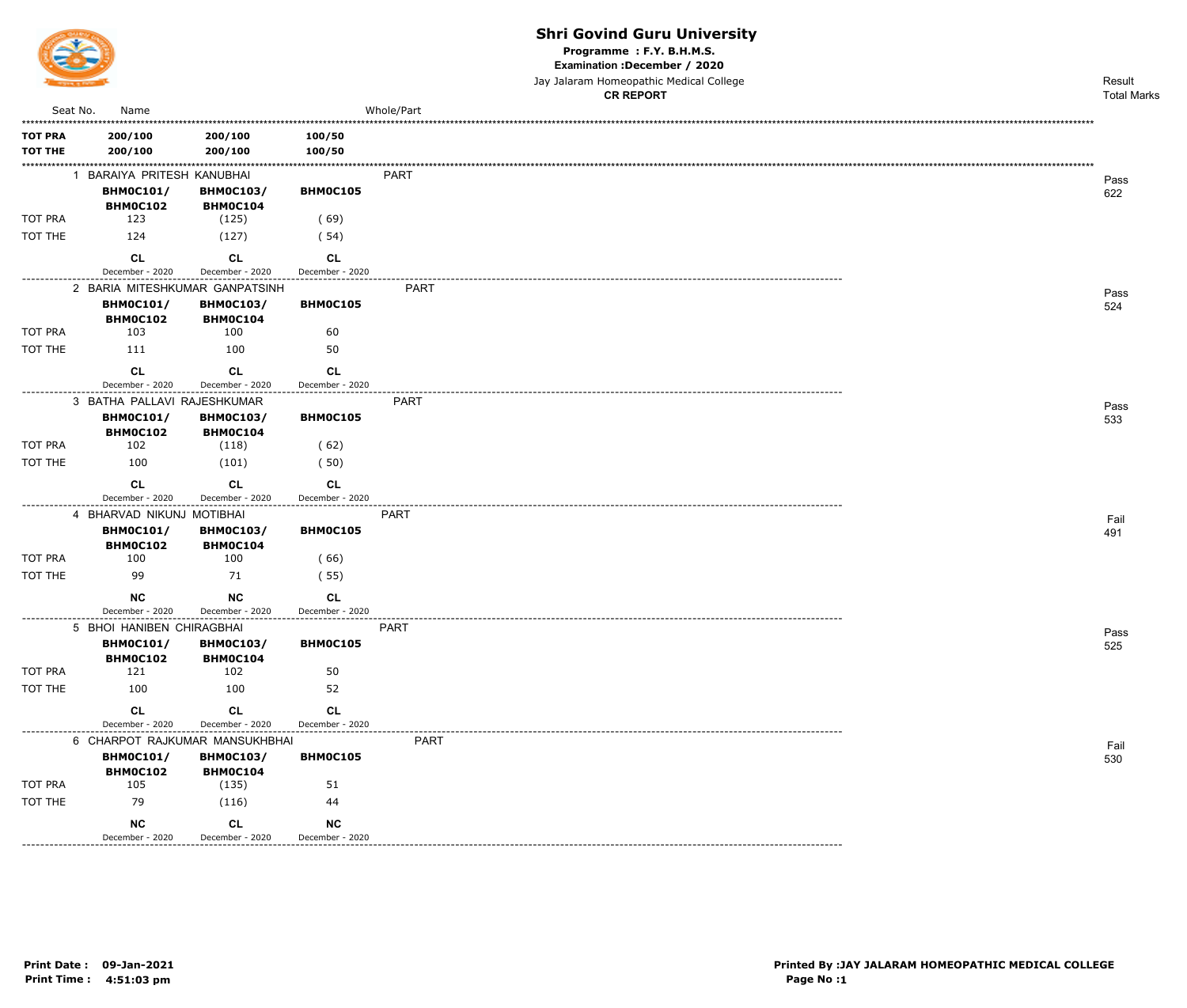

Programme : F.Y. B.H.M.S.

Examination : December / 2020

Jay Jalaram Homeopathic Medical College

|                |                                                   |                              |                                       | <b>CR REPORT</b> | <b>Total Marks</b> |
|----------------|---------------------------------------------------|------------------------------|---------------------------------------|------------------|--------------------|
| Seat No.       | Name                                              |                              |                                       | Whole/Part       |                    |
| <b>TOT PRA</b> | 200/100                                           | 200/100                      | 100/50                                |                  |                    |
| <b>TOT THE</b> | 200/100                                           | 200/100                      | 100/50                                |                  |                    |
|                | 1 BARAIYA PRITESH KANUBHAI                        |                              |                                       | PART             |                    |
|                | <b>BHM0C101/</b>                                  | <b>BHMOC103/</b>             | BHM0C105                              |                  | Pass<br>622        |
|                | <b>BHM0C102</b>                                   | BHMOC104                     |                                       |                  |                    |
| TOT PRA        | 123                                               | (125)                        | (69)                                  |                  |                    |
| TOT THE        | 124                                               | (127)                        | (54)                                  |                  |                    |
|                | <b>CL</b>                                         | CL                           | <b>CL</b>                             |                  |                    |
|                | December - 2020                                   | December - 2020              | December - 2020                       |                  |                    |
|                | 2 BARIA MITESHKUMAR GANPATSINH                    |                              |                                       | <b>PART</b>      | Pass               |
|                | <b>BHM0C101/</b><br>BHM0C102                      | <b>BHM0C103/</b><br>BHM0C104 | BHM0C105                              |                  | 524                |
| TOT PRA        | 103                                               | 100                          | 60                                    |                  |                    |
| TOT THE        | 111                                               | 100                          | 50                                    |                  |                    |
|                | <b>CL</b>                                         | CL                           | CL                                    |                  |                    |
|                | December - 2020                                   | December - 2020              | December - 2020<br>.                  |                  |                    |
|                | 3 BATHA PALLAVI RAJESHKUMAR                       |                              |                                       | PART             | Pass               |
|                | <b>BHM0C101/</b>                                  | <b>BHMOC103/</b>             | BHM0C105                              |                  | 533                |
|                | <b>BHM0C102</b>                                   | BHM0C104                     |                                       |                  |                    |
| TOT PRA        | 102                                               | (118)                        | (62)                                  |                  |                    |
| TOT THE        | 100                                               | (101)                        | (50)                                  |                  |                    |
|                | <b>CL</b>                                         | <b>CL</b>                    | CL                                    |                  |                    |
|                | December - 2020                                   | December - 2020              | December - 2020                       |                  |                    |
|                | 4 BHARVAD NIKUNJ MOTIBHAI                         |                              |                                       | <b>PART</b>      | Fail               |
|                | <b>BHM0C101/</b><br><b>BHM0C102</b>               | <b>BHMOC103/</b><br>BHM0C104 | BHM0C105                              |                  | 491                |
| TOT PRA        | 100                                               | 100                          | (66)                                  |                  |                    |
| TOT THE        | 99                                                | 71                           | (55)                                  |                  |                    |
|                | <b>NC</b>                                         | <b>NC</b>                    | CL                                    |                  |                    |
|                | December - 2020                                   | December - 2020              | December - 2020<br>------------------ | . <b>.</b> .     |                    |
|                | 5 BHOI HANIBEN CHIRAGBHAI                         |                              |                                       | <b>PART</b>      | Pass               |
|                | <b>BHM0C101/</b>                                  | <b>BHM0C103/</b>             | BHM0C105                              |                  | 525                |
| <b>TOT PRA</b> | <b>BHM0C102</b><br>121                            | BHM0C104<br>102              | 50                                    |                  |                    |
| TOT THE        | 100                                               | 100                          | 52                                    |                  |                    |
|                |                                                   |                              |                                       |                  |                    |
|                | <b>CL</b>                                         | <b>CL</b>                    | <b>CL</b>                             |                  |                    |
| -------------  | December - 2020<br>6 CHARPOT RAJKUMAR MANSUKHBHAI | December - 2020              | December - 2020                       | PART             |                    |
|                | <b>BHM0C101/</b>                                  | <b>BHM0C103/</b>             | BHMOC105                              |                  | Fail<br>530        |
|                | <b>BHM0C102</b>                                   | BHM0C104                     |                                       |                  |                    |
| TOT PRA        | 105                                               | (135)                        | 51                                    |                  |                    |
| TOT THE        | 79                                                | (116)                        | 44                                    |                  |                    |
|                | <b>NC</b>                                         | <b>CL</b>                    | <b>NC</b>                             |                  |                    |
|                | December - 2020                                   | December - 2020              | December - 2020                       |                  |                    |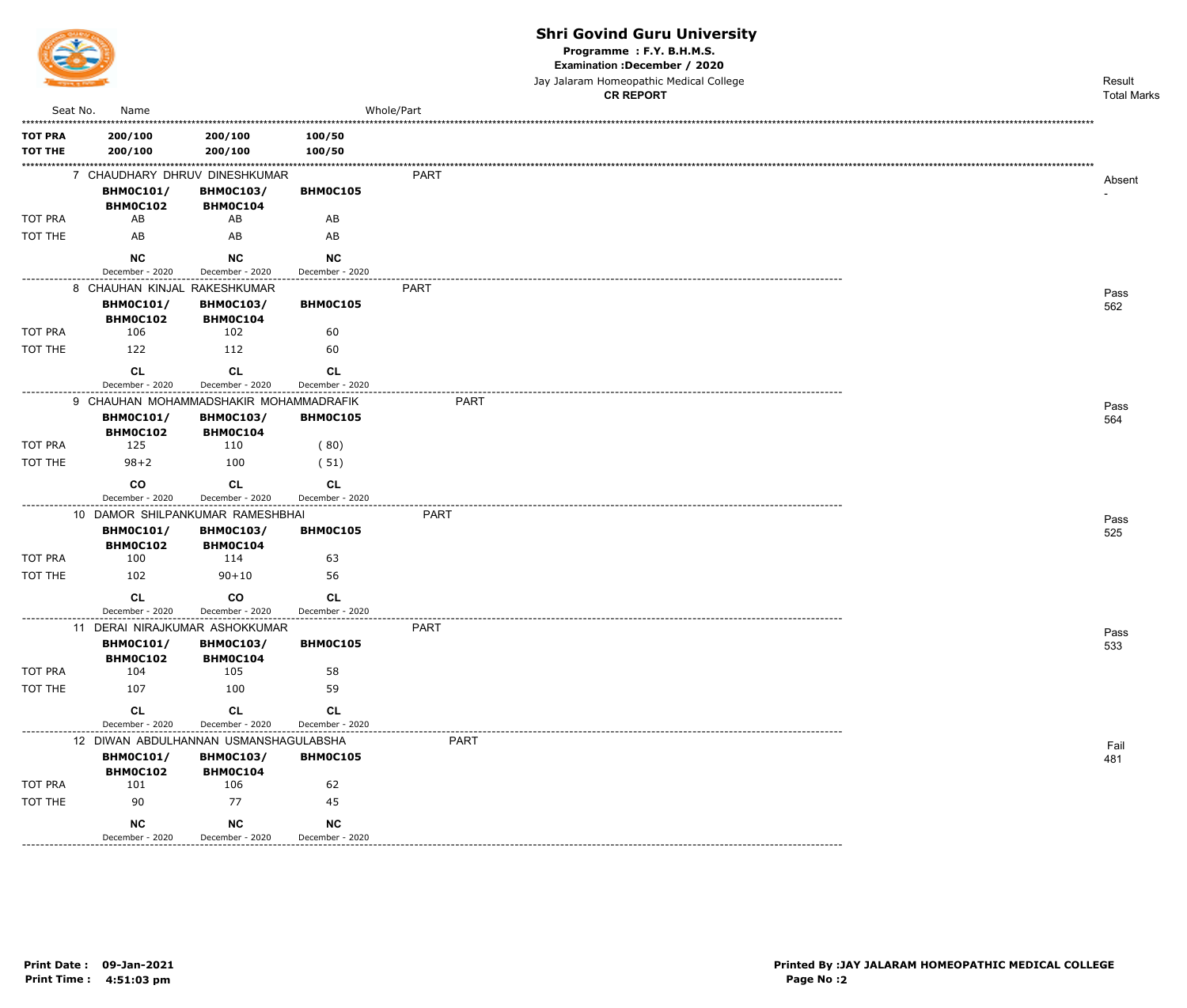

Programme: F.Y. B.H.M.S.

Examination : December / 2020

Jay Jalaram Homeopathic Medical College CD DEDODT

|                                  |                                                                |                                     |                              | <b>CR REPORT</b> | <b>Total Marks</b> |
|----------------------------------|----------------------------------------------------------------|-------------------------------------|------------------------------|------------------|--------------------|
|                                  | Seat No.<br>Name                                               |                                     |                              | Whole/Part       |                    |
| <b>TOT PRA</b><br><b>TOT THE</b> | 200/100<br>200/100                                             | 200/100<br>200/100                  | 100/50<br>100/50             |                  |                    |
|                                  | 7 CHAUDHARY DHRUV DINESHKUMAR<br><b>BHM0C101/</b>              | <b>BHM0C103/</b>                    | BHM0C105                     | PART             | Absent             |
| TOT PRA                          | BHM0C102<br>AB                                                 | BHM0C104<br>AB                      | AB                           |                  |                    |
| TOT THE                          | AB                                                             | AB                                  | AB                           |                  |                    |
|                                  |                                                                |                                     |                              |                  |                    |
|                                  | <b>NC</b><br>December - 2020                                   | <b>NC</b><br>December - 2020        | NC<br>December - 2020        |                  |                    |
|                                  | 8 CHAUHAN KINJAL RAKESHKUMAR                                   |                                     |                              | <b>PART</b>      | Pass               |
|                                  | <b>BHM0C101/</b><br>BHM0C102                                   | <b>BHM0C103/</b><br>BHM0C104        | BHM0C105                     |                  | 562                |
| <b>TOT PRA</b>                   | 106                                                            | 102                                 | 60                           |                  |                    |
| TOT THE                          | 122                                                            | 112                                 | 60                           |                  |                    |
|                                  | <b>CL</b>                                                      | <b>CL</b>                           | <b>CL</b>                    |                  |                    |
|                                  | December - 2020                                                | December - 2020                     | December - 2020              |                  |                    |
|                                  | 9 CHAUHAN MOHAMMADSHAKIR MOHAMMADRAFIK<br><b>BHM0C101/</b>     | <b>BHM0C103/</b>                    | BHM0C105                     | <b>PART</b>      | Pass<br>564        |
| TOT PRA                          | BHM0C102<br>125                                                | BHM0C104<br>110                     | (80)                         |                  |                    |
| TOT THE                          | $98 + 2$                                                       | 100                                 | (51)                         |                  |                    |
|                                  |                                                                |                                     |                              |                  |                    |
|                                  | co<br>December - 2020                                          | <b>CL</b><br>December - 2020        | <b>CL</b><br>December - 2020 |                  |                    |
|                                  | 10 DAMOR SHILPANKUMAR RAMESHBHAI                               |                                     |                              | <b>PART</b>      |                    |
|                                  | <b>BHM0C101/</b><br>BHM0C102                                   | <b>BHM0C103/</b><br>BHM0C104        | BHM0C105                     |                  | Pass<br>525        |
| TOT PRA                          | 100                                                            | 114                                 | 63                           |                  |                    |
| TOT THE                          | 102                                                            | $90 + 10$                           | 56                           |                  |                    |
|                                  | <b>CL</b>                                                      | co                                  | <b>CL</b>                    |                  |                    |
|                                  | December - 2020                                                | December - 2020                     | December - 2020              |                  |                    |
|                                  | 11 DERAI NIRAJKUMAR ASHOKKUMAR<br><b>BHM0C101/</b><br>BHM0C102 | <b>BHM0C103/</b><br><b>BHM0C104</b> | <b>BHMOC105</b>              | <b>PART</b>      | Pass<br>533        |
| TOT PRA                          | 104                                                            | 105                                 | 58                           |                  |                    |
| TOT THE                          | 107                                                            | 100                                 | 59                           |                  |                    |
|                                  | CL<br>December - 2020                                          | CL<br>December - 2020               | <b>CL</b><br>December - 2020 |                  |                    |
|                                  | 12 DIWAN ABDULHANNAN USMANSHAGULABSHA                          |                                     |                              | <b>PART</b>      | Fail               |
|                                  | <b>BHM0C101/</b><br>BHM0C102                                   | <b>BHM0C103/</b><br>BHM0C104        | BHM0C105                     |                  | 481                |
| TOT PRA                          | 101                                                            | 106                                 | 62                           |                  |                    |
| TOT THE                          | 90                                                             | 77                                  | 45                           |                  |                    |
| -------------                    | <b>NC</b><br>December - 2020                                   | <b>NC</b><br>December - 2020        | <b>NC</b><br>December - 2020 |                  |                    |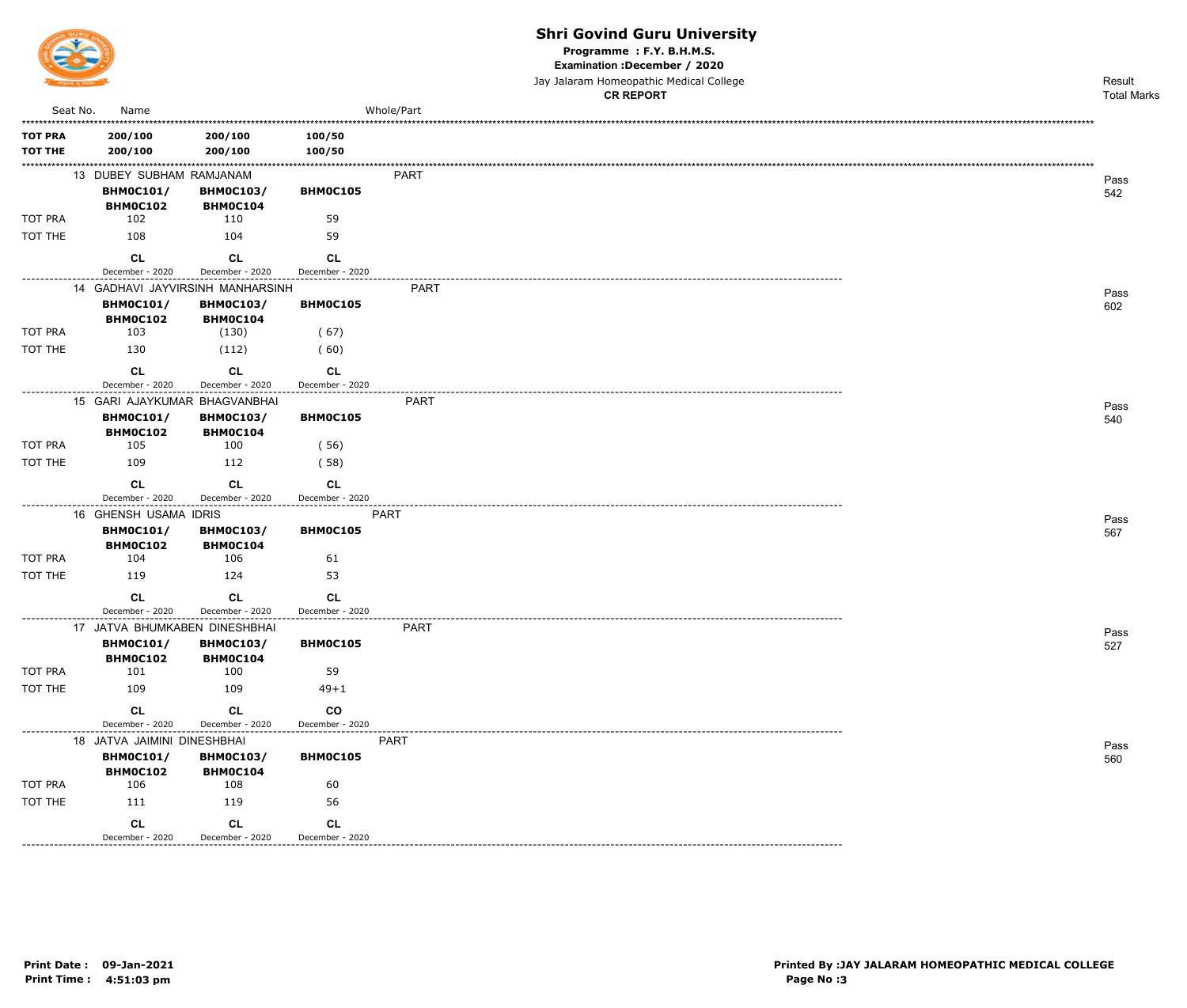

--------------

### **Shri Govind Guru University**

Programme : F.Y. B.H.M.S.

Examination : December / 2020

|                |                                                                 |                     |                 |             | Jay Jalaram Homeopathic Medical College | Result             |
|----------------|-----------------------------------------------------------------|---------------------|-----------------|-------------|-----------------------------------------|--------------------|
|                |                                                                 |                     |                 |             | <b>CR REPORT</b>                        | <b>Total Marks</b> |
| Seat No.       | Name                                                            |                     |                 | Whole/Part  |                                         |                    |
| <b>TOT PRA</b> | 200/100                                                         | 200/100             | 100/50          |             |                                         |                    |
| <b>TOT THE</b> | 200/100                                                         | 200/100             | 100/50          |             |                                         |                    |
|                | 13 DUBEY SUBHAM RAMJANAM                                        |                     |                 | <b>PART</b> |                                         |                    |
|                | <b>BHM0C101/</b>                                                | <b>BHM0C103/</b>    | BHM0C105        |             |                                         | Pass               |
|                | <b>BHM0C102</b>                                                 | BHM0C104            |                 |             |                                         | 542                |
| TOT PRA        | 102                                                             | 110                 | 59              |             |                                         |                    |
| TOT THE        | 108                                                             | 104                 | 59              |             |                                         |                    |
|                | <b>CL</b>                                                       | CL                  | <b>CL</b>       |             |                                         |                    |
|                | December - 2020                                                 | December - 2020     | December - 2020 |             |                                         |                    |
|                | 14 GADHAVI JAYVIRSINH MANHARSINH                                |                     |                 | PART        |                                         |                    |
|                | <b>BHM0C101/</b>                                                | <b>BHM0C103/</b>    | BHM0C105        |             |                                         | Pass<br>602        |
|                | BHM0C102                                                        | BHM0C104            |                 |             |                                         |                    |
| TOT PRA        | 103                                                             | (130)               | (67)            |             |                                         |                    |
| TOT THE        | 130                                                             | (112)               | (60)            |             |                                         |                    |
|                | CL                                                              | <b>CL</b>           | CL              |             |                                         |                    |
|                | December - 2020                                                 | December - 2020     | December - 2020 |             |                                         |                    |
|                | 15 GARI AJAYKUMAR BHAGVANBHAI                                   |                     |                 | <b>PART</b> |                                         | Pass               |
|                | <b>BHM0C101/</b>                                                | <b>BHM0C103/</b>    | BHM0C105        |             |                                         | 540                |
|                | BHM0C102                                                        | BHM0C104            |                 |             |                                         |                    |
| TOT PRA        | 105                                                             | 100                 | (56)            |             |                                         |                    |
| TOT THE        | 109                                                             | 112                 | (58)            |             |                                         |                    |
|                | <b>CL</b>                                                       | <b>CL</b>           | CL              |             |                                         |                    |
|                | December - 2020                                                 | December - 2020     | December - 2020 |             |                                         |                    |
|                | --------------------------------------<br>16 GHENSH USAMA IDRIS | ------------------- |                 | <b>PART</b> |                                         |                    |
|                | <b>BHM0C101/</b>                                                | <b>BHM0C103/</b>    | BHM0C105        |             |                                         | Pass<br>567        |
|                | BHM0C102                                                        | <b>BHMOC104</b>     |                 |             |                                         |                    |
| TOT PRA        | 104                                                             | 106                 | 61              |             |                                         |                    |
| TOT THE        | 119                                                             | 124                 | 53              |             |                                         |                    |
|                | <b>CL</b>                                                       | <b>CL</b>           | <b>CL</b>       |             |                                         |                    |
|                | December - 2020                                                 | December - 2020     | December - 2020 |             |                                         |                    |
|                | 17 JATVA BHUMKABEN DINESHBHAI                                   |                     |                 | <b>PART</b> |                                         | Pass               |
|                | <b>BHM0C101/</b>                                                | <b>BHM0C103/</b>    | BHM0C105        |             |                                         | 527                |
|                | BHM0C102                                                        | BHM0C104            |                 |             |                                         |                    |
| TOT PRA        | 101                                                             | 100                 | 59              |             |                                         |                    |
| TOT THE        | 109                                                             | 109                 | $49 + 1$        |             |                                         |                    |
|                | <b>CL</b>                                                       | CL                  | $_{\rm CO}$     |             |                                         |                    |
|                | December - 2020                                                 | December - 2020     | December - 2020 |             |                                         |                    |
|                | 18 JATVA JAIMINI DINESHBHAI                                     |                     |                 | PART        |                                         | Pass               |
|                | <b>BHM0C101/</b>                                                | <b>BHM0C103/</b>    | BHM0C105        |             |                                         | 560                |
|                | BHM0C102                                                        | BHM0C104            |                 |             |                                         |                    |
| TOT PRA        | 106                                                             | 108                 | 60              |             |                                         |                    |
| TOT THE        | 111                                                             | 119                 | 56              |             |                                         |                    |

 $CL$ 

December - 2020

CL

December - 2020

**CL** December - 2020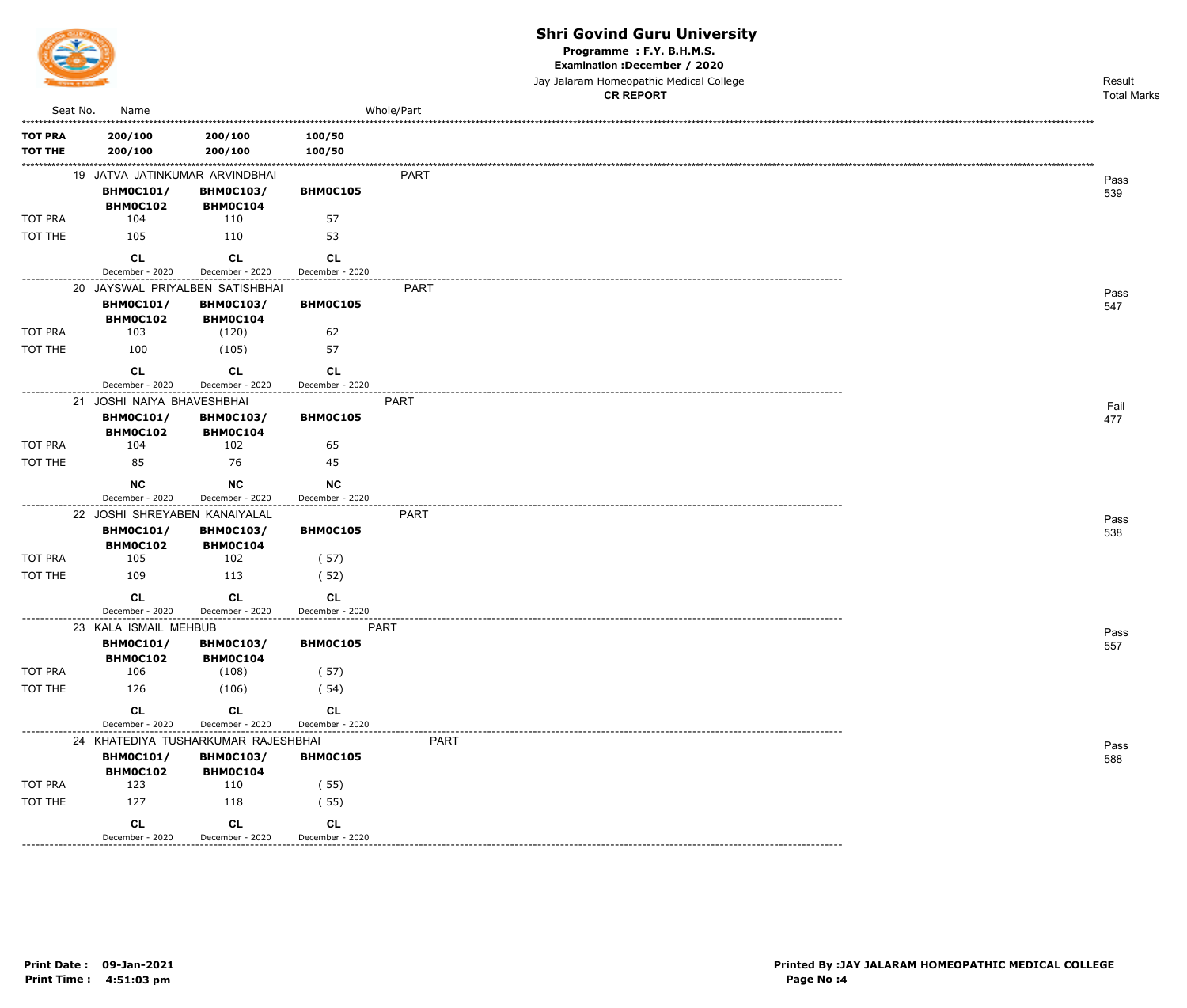

Programme : F.Y. B.H.M.S.

Examination : December / 2020

Jay Jalaram Homeopathic Medical College  $\overline{a}$ 

|                                  |                                                                   |                                             |                              |             | <b>CR REPORT</b> | <b>Total Marks</b> |
|----------------------------------|-------------------------------------------------------------------|---------------------------------------------|------------------------------|-------------|------------------|--------------------|
| Seat No.                         | Name                                                              |                                             |                              | Whole/Part  |                  |                    |
| <b>TOT PRA</b><br><b>TOT THE</b> | 200/100<br>200/100                                                | 200/100<br>200/100                          | 100/50<br>100/50             |             |                  |                    |
|                                  | 19 JATVA JATINKUMAR ARVINDBHAI<br><b>BHM0C101/</b><br>BHM0C102    | <b>BHM0C103/</b><br>BHM0C104                | BHM0C105                     | PART        |                  | Pass<br>539        |
| TOT PRA                          | 104                                                               | 110                                         | 57                           |             |                  |                    |
| TOT THE                          | 105                                                               | 110                                         | 53                           |             |                  |                    |
| -----------                      | <b>CL</b><br>December - 2020                                      | <b>CL</b><br>December - 2020                | CL<br>December - 2020        |             |                  |                    |
|                                  |                                                                   | 20 JAYSWAL PRIYALBEN SATISHBHAI             |                              | PART        |                  | Pass               |
|                                  | <b>BHM0C101/</b><br><b>BHM0C102</b>                               | <b>BHM0C103/</b><br><b>BHM0C104</b>         | BHM0C105                     |             |                  | 547                |
| TOT PRA                          | 103                                                               | (120)                                       | 62                           |             |                  |                    |
| TOT THE                          | 100                                                               | (105)                                       | 57                           |             |                  |                    |
|                                  | <b>CL</b>                                                         | <b>CL</b>                                   | CL                           |             |                  |                    |
|                                  | December - 2020                                                   | December - 2020                             | December - 2020              |             |                  |                    |
|                                  | 21 JOSHI NAIYA BHAVESHBHAI<br><b>BHM0C101/</b><br><b>BHM0C102</b> | <b>BHM0C103/</b><br>BHM0C104                | BHM0C105                     | PART        |                  | Fail<br>477        |
| TOT PRA                          | 104                                                               | 102                                         | 65                           |             |                  |                    |
| TOT THE                          | 85                                                                | 76                                          | 45                           |             |                  |                    |
|                                  | <b>NC</b>                                                         | <b>NC</b>                                   | <b>NC</b>                    |             |                  |                    |
| ---------------                  | December - 2020                                                   | December - 2020                             | December - 2020              |             |                  |                    |
|                                  | 22 JOSHI SHREYABEN KANAIYALAL                                     |                                             |                              | PART        |                  | Pass               |
|                                  | <b>BHM0C101/</b><br>BHM0C102                                      | <b>BHM0C103/</b><br><b>BHM0C104</b>         | <b>BHM0C105</b>              |             |                  | 538                |
| TOT PRA                          | 105                                                               | 102                                         | (57)                         |             |                  |                    |
| TOT THE                          | 109                                                               | 113                                         | (52)                         |             |                  |                    |
|                                  | <b>CL</b><br>December - 2020                                      | <b>CL</b><br>December - 2020                | <b>CL</b><br>December - 2020 |             |                  |                    |
|                                  | 23 KALA ISMAIL MEHBUB                                             |                                             |                              | <b>PART</b> |                  |                    |
|                                  | <b>BHM0C101/</b><br><b>BHM0C102</b>                               | <b>BHM0C103/</b><br><b>BHM0C104</b>         | BHM0C105                     |             |                  | Pass<br>557        |
| TOT PRA                          | 106                                                               | (108)                                       | (57)                         |             |                  |                    |
| TOT THE                          | 126                                                               | (106)                                       | (54)                         |             |                  |                    |
|                                  | <b>CL</b><br>December - 2020                                      | <b>CL</b><br>December - 2020                | <b>CL</b><br>December - 2020 |             |                  |                    |
|                                  |                                                                   | 24 KHATEDIYA TUSHARKUMAR RAJESHBHAI         |                              |             |                  |                    |
|                                  | <b>BHM0C101/</b><br>BHM0C102                                      | <b>BHM0C103/</b><br><b>BHM0C104</b>         | BHM0C105                     | PART        |                  | Pass<br>588        |
| TOT PRA                          | 123                                                               | 110                                         | (55)                         |             |                  |                    |
| TOT THE                          | 127                                                               | 118                                         | (55)                         |             |                  |                    |
|                                  | CL<br>December - 2020                                             | CL<br>December - 2020<br>------------------ | <b>CL</b><br>December - 2020 |             |                  |                    |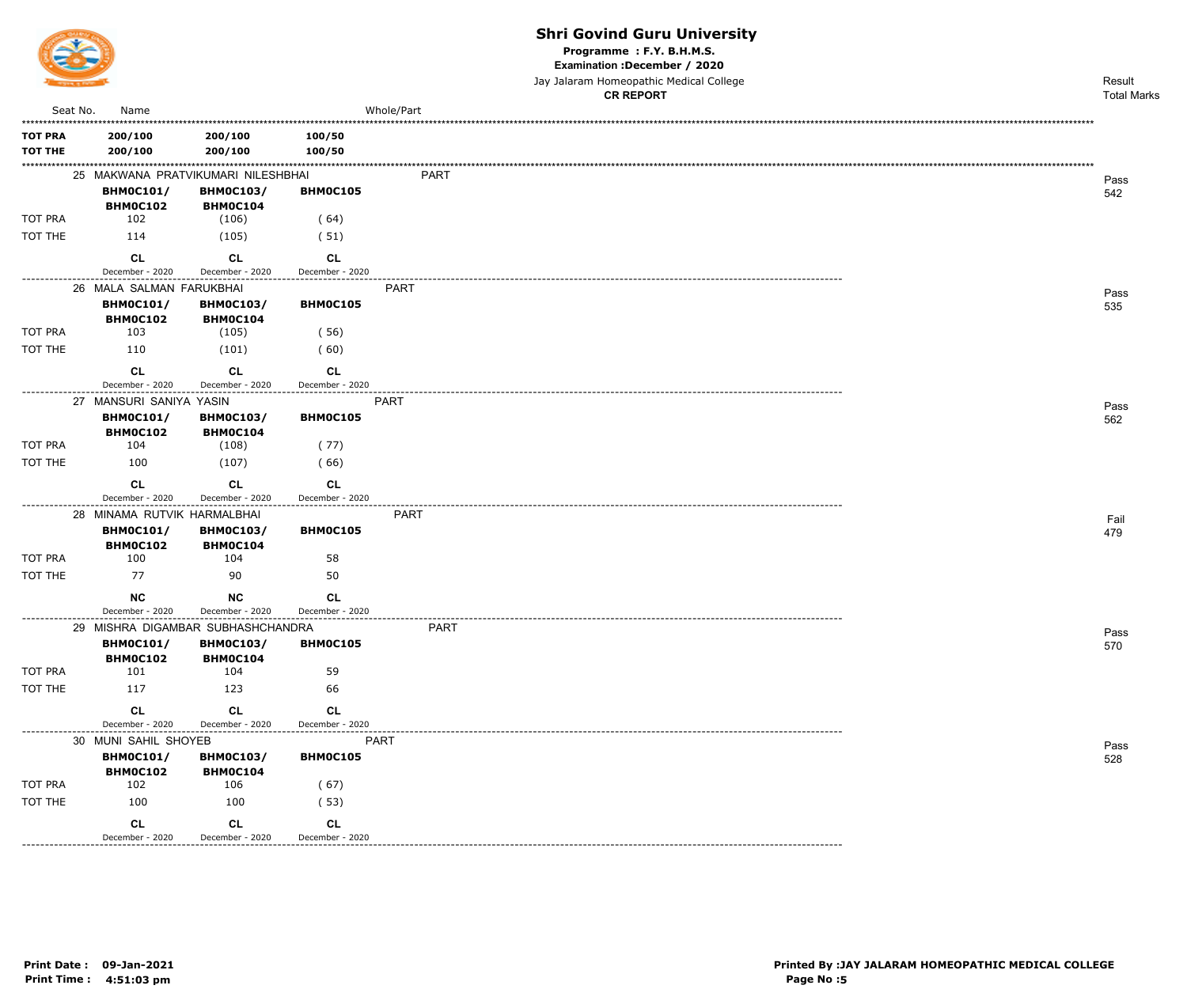

Programme : F.Y. B.H.M.S.

Examination : December / 2020

Jay Jalaram Homeopathic Medical College

|                |                                                 |                                     |                                                 |             | <b>CR REPORT</b> | <b>Total Marks</b> |
|----------------|-------------------------------------------------|-------------------------------------|-------------------------------------------------|-------------|------------------|--------------------|
| Seat No.       | Name                                            |                                     |                                                 | Whole/Part  |                  |                    |
| <b>TOT PRA</b> | 200/100                                         | 200/100                             | 100/50                                          |             |                  |                    |
| <b>TOT THE</b> | 200/100                                         | 200/100                             | 100/50                                          |             |                  |                    |
|                |                                                 |                                     |                                                 |             |                  |                    |
|                |                                                 | 25 MAKWANA PRATVIKUMARI NILESHBHAI  |                                                 | <b>PART</b> |                  | Pass               |
|                | <b>BHM0C101/</b><br><b>BHM0C102</b>             | <b>BHM0C103/</b><br><b>BHM0C104</b> | BHM0C105                                        |             |                  | 542                |
| TOT PRA        | 102                                             | (106)                               | (64)                                            |             |                  |                    |
| TOT THE        | 114                                             | (105)                               | (51)                                            |             |                  |                    |
|                | <b>CL</b>                                       | <b>CL</b>                           | <b>CL</b>                                       |             |                  |                    |
|                | December - 2020                                 | December - 2020                     | December - 2020                                 |             |                  |                    |
|                | 26 MALA SALMAN FARUKBHAI                        |                                     |                                                 | <b>PART</b> |                  | Pass               |
|                | <b>BHM0C101/</b><br>BHM0C102                    | <b>BHM0C103/</b><br>BHM0C104        | BHM0C105                                        |             |                  | 535                |
| TOT PRA        | 103                                             | (105)                               | (56)                                            |             |                  |                    |
| TOT THE        | 110                                             | (101)                               | (60)                                            |             |                  |                    |
|                | <b>CL</b>                                       | CL                                  | CL                                              |             |                  |                    |
|                | December - 2020                                 | December - 2020<br>---------------- | December - 2020<br>.                            |             |                  |                    |
|                | 27 MANSURI SANIYA YASIN                         |                                     | <b>PART</b>                                     |             |                  | Pass               |
|                | <b>BHM0C101/</b>                                | <b>BHM0C103/</b>                    | BHM0C105                                        |             |                  | 562                |
|                | <b>BHM0C102</b>                                 | BHM0C104                            |                                                 |             |                  |                    |
| TOT PRA        | 104                                             | (108)                               | (77)                                            |             |                  |                    |
| TOT THE        | 100                                             | (107)                               | (66)                                            |             |                  |                    |
|                | <b>CL</b>                                       | <b>CL</b>                           | CL                                              |             |                  |                    |
|                | December - 2020                                 | December - 2020                     | December - 2020<br>----------------             |             |                  |                    |
|                | 28 MINAMA RUTVIK HARMALBHAI<br><b>BHM0C101/</b> | <b>BHM0C103/</b>                    | BHM0C105                                        | PART        |                  | Fail               |
|                | BHM0C102                                        | BHM0C104                            |                                                 |             |                  | 479                |
| TOT PRA        | 100                                             | 104                                 | 58                                              |             |                  |                    |
| TOT THE        | 77                                              | 90                                  | 50                                              |             |                  |                    |
|                | <b>NC</b>                                       | <b>NC</b>                           | <b>CL</b>                                       |             |                  |                    |
|                | December - 2020                                 | December - 2020                     | December - 2020                                 |             |                  |                    |
|                |                                                 | 29 MISHRA DIGAMBAR SUBHASHCHANDRA   |                                                 | <b>PART</b> |                  | Pass               |
|                | <b>BHM0C101/</b>                                | <b>BHM0C103/</b>                    | BHM0C105                                        |             |                  | 570                |
| TOT PRA        | <b>BHM0C102</b><br>101                          | <b>BHM0C104</b><br>104              | 59                                              |             |                  |                    |
| TOT THE        | 117                                             | 123                                 |                                                 |             |                  |                    |
|                |                                                 |                                     | 66                                              |             |                  |                    |
|                | <b>CL</b>                                       | CL                                  | <b>CL</b>                                       |             |                  |                    |
|                | December - 2020                                 | December - 2020                     | December - 2020<br>-------------<br><b>PART</b> |             |                  |                    |
|                | 30 MUNI SAHIL SHOYEB<br><b>BHM0C101/</b>        | <b>BHM0C103/</b>                    | BHM0C105                                        |             |                  | Pass               |
|                | BHM0C102                                        | <b>BHM0C104</b>                     |                                                 |             |                  | 528                |
| TOT PRA        | 102                                             | 106                                 | (67)                                            |             |                  |                    |
| TOT THE        | 100                                             | 100                                 | (53)                                            |             |                  |                    |
|                | <b>CL</b>                                       | <b>CL</b>                           | CL                                              |             |                  |                    |
|                | December - 2020                                 | December - 2020                     | December - 2020                                 |             |                  |                    |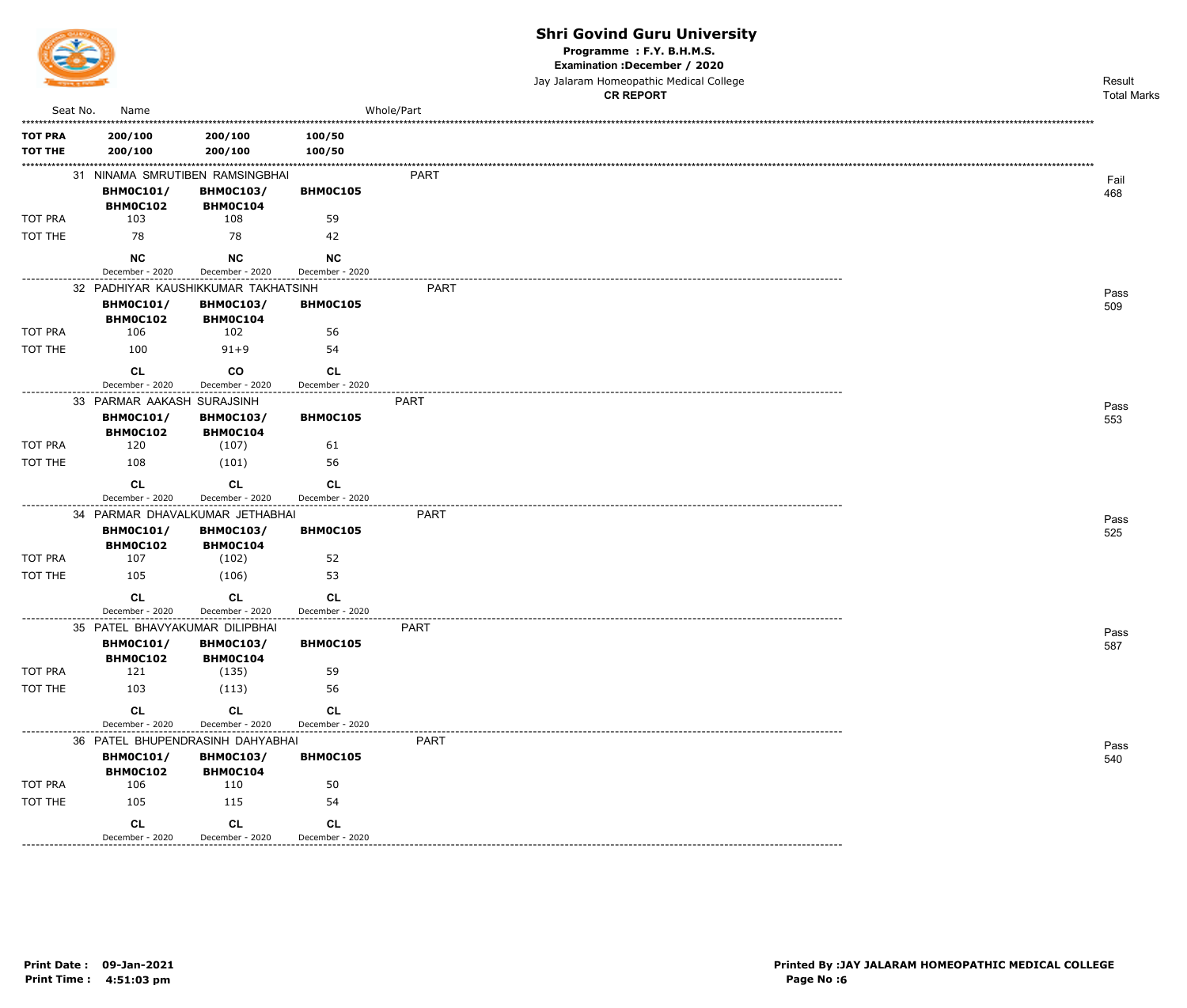

Programme: F.Y. B.H.M.S.

Examination : December / 2020

Jay Jalaram Homeopathic Medical College **CR REPORT** 

|                    |                                                      |                                     |                 | <b>CR REPORT</b> | <b>Total Marks</b> |
|--------------------|------------------------------------------------------|-------------------------------------|-----------------|------------------|--------------------|
| Seat No.           | Name                                                 |                                     |                 | Whole/Part       |                    |
| <b>TOT PRA</b>     | 200/100                                              | 200/100                             | 100/50          |                  |                    |
| <b>TOT THE</b>     | 200/100                                              | 200/100                             | 100/50          |                  |                    |
|                    | 31 NINAMA SMRUTIBEN RAMSINGBHAI                      |                                     |                 | PART             |                    |
|                    | <b>BHM0C101/</b>                                     | <b>BHM0C103/</b>                    | <b>BHM0C105</b> |                  | Fail<br>468        |
|                    | <b>BHM0C102</b>                                      | <b>BHMOC104</b>                     |                 |                  |                    |
| <b>TOT PRA</b>     | 103                                                  | 108                                 | 59              |                  |                    |
| TOT THE            | 78                                                   | 78                                  | 42              |                  |                    |
|                    | <b>NC</b>                                            | <b>NC</b>                           | <b>NC</b>       |                  |                    |
|                    | December - 2020                                      | December - 2020                     | December - 2020 |                  |                    |
|                    | 32 PADHIYAR KAUSHIKKUMAR TAKHATSINH                  |                                     |                 | PART             | Pass               |
|                    | <b>BHM0C101/</b><br><b>BHM0C102</b>                  | <b>BHM0C103/</b><br>BHM0C104        | <b>BHM0C105</b> |                  | 509                |
| <b>TOT PRA</b>     | 106                                                  | 102                                 | 56              |                  |                    |
| TOT THE            | 100                                                  | $91 + 9$                            | 54              |                  |                    |
|                    | CL                                                   | <b>CO</b>                           | CL              |                  |                    |
|                    | December - 2020                                      | December - 2020                     | December - 2020 |                  |                    |
|                    | 33 PARMAR AAKASH SURAJSINH                           |                                     |                 | PART             | Pass               |
|                    | <b>BHM0C101/</b>                                     | <b>BHM0C103/</b>                    | BHM0C105        |                  | 553                |
|                    | <b>BHM0C102</b>                                      | <b>BHMOC104</b>                     |                 |                  |                    |
| <b>TOT PRA</b>     | 120                                                  | (107)                               | 61              |                  |                    |
| TOT THE            | 108                                                  | (101)                               | 56              |                  |                    |
|                    | <b>CL</b>                                            | CL                                  | CL              |                  |                    |
| --------------     | December - 2020                                      | December - 2020                     | December - 2020 |                  |                    |
|                    | 34 PARMAR DHAVALKUMAR JETHABHAI                      |                                     |                 | PART             | Pass               |
|                    | <b>BHM0C101/</b><br>BHM0C102                         | <b>BHM0C103/</b><br><b>BHMOC104</b> | BHM0C105        |                  | 525                |
| TOT PRA            | 107                                                  | (102)                               | 52              |                  |                    |
| TOT THE            | 105                                                  | (106)                               | 53              |                  |                    |
|                    | <b>CL</b>                                            | CL                                  | CL              |                  |                    |
|                    | December - 2020                                      | December - 2020                     | December - 2020 |                  |                    |
|                    | 35 PATEL BHAVYAKUMAR DILIPBHAI                       |                                     |                 | <b>PART</b>      | Pass               |
|                    | <b>BHM0C101/</b>                                     | <b>BHM0C103/</b>                    | BHM0C105        |                  | 587                |
|                    | <b>BHM0C102</b>                                      | BHM0C104                            |                 |                  |                    |
| TOT PRA            | 121                                                  | (135)                               | 59              |                  |                    |
| TOT THE            | 103                                                  | (113)                               | 56              |                  |                    |
|                    | <b>CL</b>                                            | CL                                  | <b>CL</b>       |                  |                    |
| ------------------ | December - 2020                                      | December - 2020                     | December - 2020 |                  |                    |
|                    | 36 PATEL BHUPENDRASINH DAHYABHAI<br><b>BHM0C101/</b> | <b>BHM0C103/</b>                    | BHM0C105        | <b>PART</b>      | Pass               |
|                    | <b>BHM0C102</b>                                      | BHM0C104                            |                 |                  | 540                |
| TOT PRA            | 106                                                  | 110                                 | 50              |                  |                    |
| TOT THE            | 105                                                  | 115                                 | 54              |                  |                    |
|                    | CL                                                   | CL                                  | <b>CL</b>       |                  |                    |
|                    | December - 2020                                      | December - 2020                     | December - 2020 |                  |                    |
|                    |                                                      |                                     |                 |                  |                    |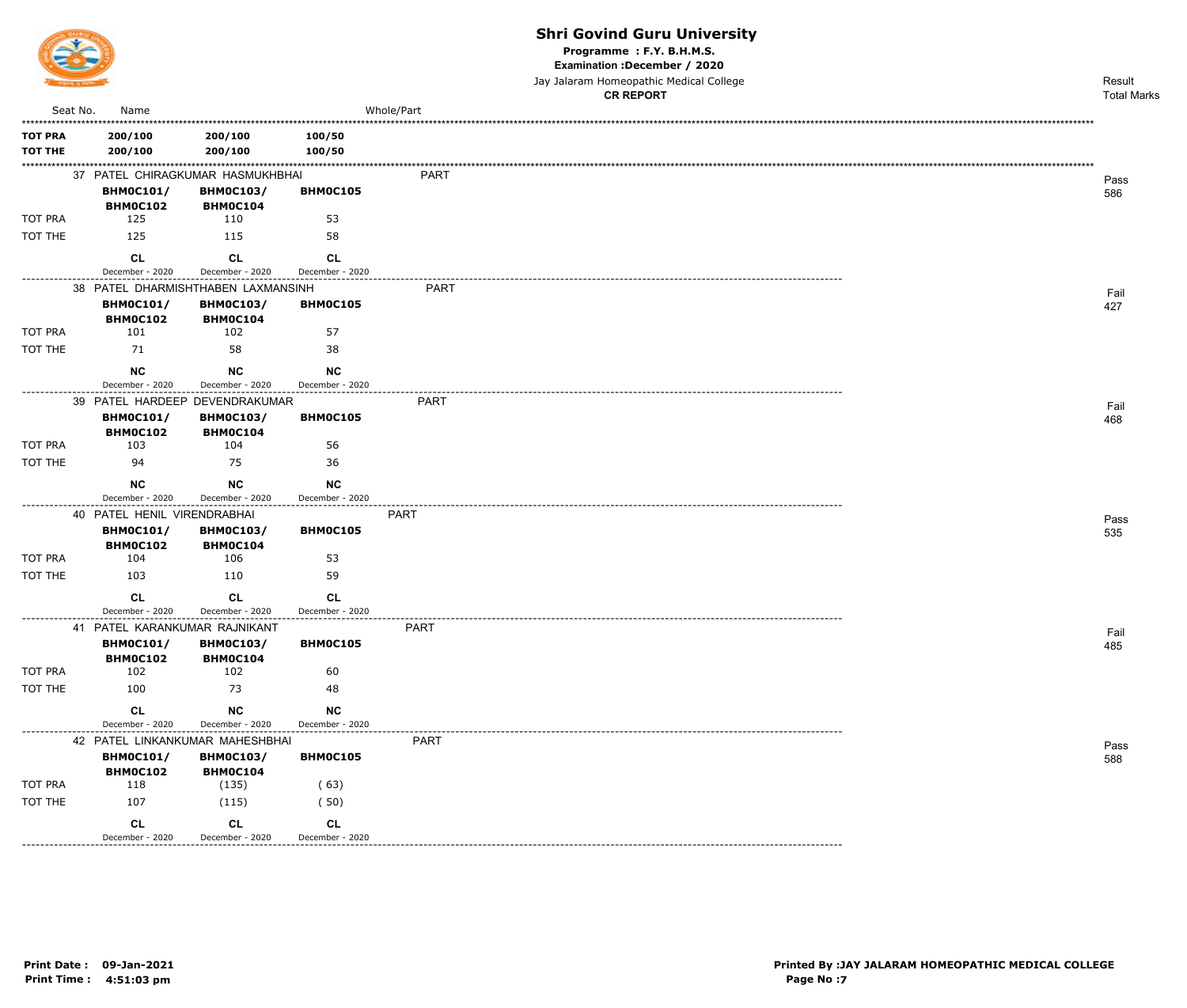

Programme : F.Y. B.H.M.S.

Examination : December / 2020

Jay Jalaram Homeopathic Medical College

|                           |                                     |                              |                              |             | <b>CR REPORT</b> | <b>Total Marks</b> |
|---------------------------|-------------------------------------|------------------------------|------------------------------|-------------|------------------|--------------------|
| Seat No.                  | Name                                |                              |                              | Whole/Part  |                  |                    |
| <b>TOT PRA</b>            | 200/100                             | 200/100                      | 100/50                       |             |                  |                    |
| <b>TOT THE</b>            | 200/100                             | 200/100                      | 100/50                       |             |                  |                    |
|                           | 37 PATEL CHIRAGKUMAR HASMUKHBHAI    |                              |                              | <b>PART</b> |                  |                    |
|                           | <b>BHM0C101/</b>                    | <b>BHM0C103/</b>             | BHM0C105                     |             |                  | Pass<br>586        |
|                           | BHM0C102                            | BHM0C104                     |                              |             |                  |                    |
| TOT PRA                   | 125                                 | 110                          | 53                           |             |                  |                    |
| TOT THE                   | 125                                 | 115                          | 58                           |             |                  |                    |
|                           | <b>CL</b>                           | <b>CL</b>                    | CL                           |             |                  |                    |
| . - - - - - - - - - - - - | December - 2020                     | December - 2020              | December - 2020              |             |                  |                    |
|                           | 38 PATEL DHARMISHTHABEN LAXMANSINH  |                              |                              | <b>PART</b> |                  | Fail               |
|                           | <b>BHM0C101/</b>                    | <b>BHM0C103/</b>             | BHM0C105                     |             |                  | 427                |
|                           | BHM0C102                            | BHM0C104                     |                              |             |                  |                    |
| TOT PRA                   | 101                                 | 102                          | 57                           |             |                  |                    |
| TOT THE                   | 71                                  | 58                           | 38                           |             |                  |                    |
|                           | <b>NC</b>                           | <b>NC</b>                    | <b>NC</b>                    |             |                  |                    |
| . - - - - - - - - - - - - | December - 2020                     | December - 2020              | December - 2020              |             |                  |                    |
|                           | 39 PATEL HARDEEP DEVENDRAKUMAR      |                              |                              | <b>PART</b> |                  | Fail               |
|                           | <b>BHM0C101/</b>                    | <b>BHM0C103/</b>             | BHM0C105                     |             |                  | 468                |
|                           | <b>BHM0C102</b>                     | BHM0C104                     |                              |             |                  |                    |
| TOT PRA                   | 103                                 | 104                          | 56                           |             |                  |                    |
| TOT THE                   | 94                                  | 75                           | 36                           |             |                  |                    |
|                           | <b>NC</b>                           | <b>NC</b>                    | <b>NC</b>                    |             |                  |                    |
|                           | December - 2020                     | December - 2020              | December - 2020              |             |                  |                    |
|                           | 40 PATEL HENIL VIRENDRABHAI         |                              |                              | <b>PART</b> |                  | Pass               |
|                           | <b>BHM0C101/</b>                    | <b>BHM0C103/</b>             | BHM0C105                     |             |                  | 535                |
| TOT PRA                   | BHM0C102<br>104                     | BHM0C104<br>106              | 53                           |             |                  |                    |
| TOT THE                   | 103                                 | 110                          | 59                           |             |                  |                    |
|                           |                                     |                              |                              |             |                  |                    |
|                           | <b>CL</b>                           | CL                           | <b>CL</b>                    |             |                  |                    |
|                           | December - 2020                     | December - 2020              | December - 2020              |             |                  |                    |
|                           | 41 PATEL KARANKUMAR RAJNIKANT       |                              | <b>BHMOC105</b>              | <b>PART</b> |                  | Fail               |
|                           | <b>BHM0C101/</b><br><b>BHM0C102</b> | <b>BHM0C103/</b><br>BHM0C104 |                              |             |                  | 485                |
| TOT PRA                   | 102                                 | 102                          | 60                           |             |                  |                    |
| TOT THE                   | 100                                 | 73                           | 48                           |             |                  |                    |
|                           |                                     |                              |                              |             |                  |                    |
|                           | <b>CL</b><br>December - 2020        | NC<br>December - 2020        | <b>NC</b><br>December - 2020 |             |                  |                    |
| ---------------           | 42 PATEL LINKANKUMAR MAHESHBHAI     |                              |                              | <b>PART</b> |                  |                    |
|                           | <b>BHM0C101/</b>                    | <b>BHM0C103/</b>             | BHMOC105                     |             |                  | Pass<br>588        |
|                           | BHM0C102                            | <b>BHM0C104</b>              |                              |             |                  |                    |
| TOT PRA                   | 118                                 | (135)                        | (63)                         |             |                  |                    |
| TOT THE                   | 107                                 | (115)                        | (50)                         |             |                  |                    |
|                           | <b>CL</b>                           | <b>CL</b>                    | CL                           |             |                  |                    |
|                           | December - 2020                     | December - 2020              | December - 2020              |             |                  |                    |
|                           |                                     |                              |                              |             |                  |                    |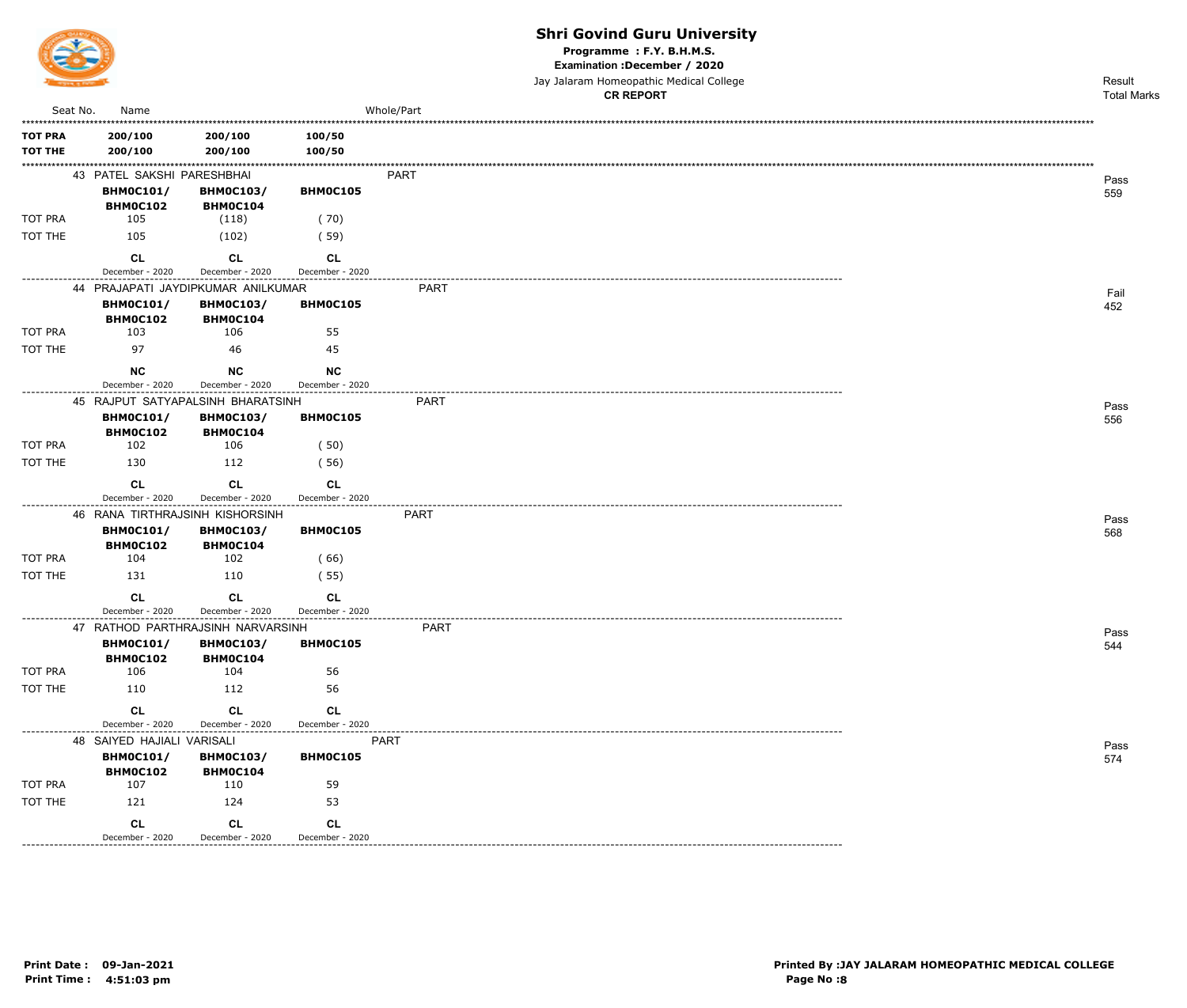

Programme : F.Y. B.H.M.S.

Examination : December / 2020

Jay Jalaram Homeopathic Medical College

|                  |                                     |                                     |                                            | <b>CR REPORT</b> | <b>Total Marks</b> |
|------------------|-------------------------------------|-------------------------------------|--------------------------------------------|------------------|--------------------|
| Seat No.         | Name                                |                                     |                                            | Whole/Part       |                    |
| <b>TOT PRA</b>   | 200/100                             | 200/100                             | 100/50                                     |                  |                    |
| <b>TOT THE</b>   | 200/100                             | 200/100                             | 100/50                                     |                  |                    |
|                  |                                     |                                     |                                            |                  |                    |
|                  | 43 PATEL SAKSHI PARESHBHAI          |                                     |                                            | <b>PART</b>      | Pass               |
|                  | <b>BHM0C101/</b><br>BHM0C102        | <b>BHM0C103/</b><br><b>BHM0C104</b> | BHM0C105                                   |                  | 559                |
| <b>TOT PRA</b>   | 105                                 | (118)                               | (70)                                       |                  |                    |
| TOT THE          | 105                                 | (102)                               | (59)                                       |                  |                    |
|                  |                                     |                                     |                                            |                  |                    |
|                  | <b>CL</b><br>December - 2020        | <b>CL</b><br>December - 2020        | <b>CL</b><br>December - 2020               |                  |                    |
|                  |                                     | 44 PRAJAPATI JAYDIPKUMAR ANILKUMAR  |                                            | <b>PART</b>      |                    |
|                  | <b>BHM0C101/</b>                    | <b>BHM0C103/</b>                    | BHM0C105                                   |                  | Fail<br>452        |
|                  | <b>BHM0C102</b>                     | BHM0C104                            |                                            |                  |                    |
| TOT PRA          | 103                                 | 106                                 | 55                                         |                  |                    |
| TOT THE          | 97                                  | 46                                  | 45                                         |                  |                    |
|                  | NC                                  | <b>NC</b>                           | <b>NC</b>                                  |                  |                    |
|                  | December - 2020                     | December - 2020                     | December - 2020                            |                  |                    |
|                  |                                     | 45 RAJPUT SATYAPALSINH BHARATSINH   |                                            | PART             | Pass               |
|                  | <b>BHM0C101/</b>                    | <b>BHM0C103/</b>                    | BHM0C105                                   |                  | 556                |
|                  | <b>BHM0C102</b>                     | BHM0C104                            |                                            |                  |                    |
| TOT PRA          | 102                                 | 106                                 | (50)                                       |                  |                    |
| TOT THE          | 130                                 | 112                                 | (56)                                       |                  |                    |
|                  | <b>CL</b>                           | CL                                  | <b>CL</b>                                  |                  |                    |
| ---------------- | December - 2020                     | December - 2020                     | December - 2020<br>----------------------- |                  |                    |
|                  |                                     | 46 RANA TIRTHRAJSINH KISHORSINH     |                                            | <b>PART</b>      | Pass               |
|                  | <b>BHM0C101/</b><br><b>BHM0C102</b> | <b>BHMOC103/</b><br>BHM0C104        | BHM0C105                                   |                  | 568                |
| TOT PRA          | 104                                 | 102                                 | (66)                                       |                  |                    |
| TOT THE          | 131                                 | 110                                 | (55)                                       |                  |                    |
|                  | <b>CL</b>                           | <b>CL</b>                           | <b>CL</b>                                  |                  |                    |
|                  | December - 2020                     | December - 2020                     | December - 2020                            |                  |                    |
|                  |                                     | 47 RATHOD PARTHRAJSINH NARVARSINH   | -----------------                          | PART             |                    |
|                  | <b>BHM0C101/</b>                    | <b>BHM0C103/</b>                    | <b>BHM0C105</b>                            |                  | Pass<br>544        |
|                  | BHM0C102                            | BHM0C104                            |                                            |                  |                    |
| TOT PRA          | 106                                 | 104                                 | 56                                         |                  |                    |
| TOT THE          | 110                                 | 112                                 | 56                                         |                  |                    |
|                  | CL                                  | <b>CL</b>                           | <b>CL</b>                                  |                  |                    |
|                  | December - 2020                     | December - 2020                     | December - 2020                            |                  |                    |
|                  | 48 SAIYED HAJIALI VARISALI          |                                     | PART                                       |                  | Pass               |
|                  | <b>BHM0C101/</b>                    | <b>BHM0C103/</b>                    | BHM0C105                                   |                  | 574                |
| TOT PRA          | BHM0C102<br>107                     | <b>BHM0C104</b><br>110              | 59                                         |                  |                    |
| TOT THE          | 121                                 | 124                                 | 53                                         |                  |                    |
|                  |                                     |                                     |                                            |                  |                    |
|                  | CL                                  | <b>CL</b>                           | <b>CL</b>                                  |                  |                    |
|                  | December - 2020                     | December - 2020                     | December - 2020                            |                  |                    |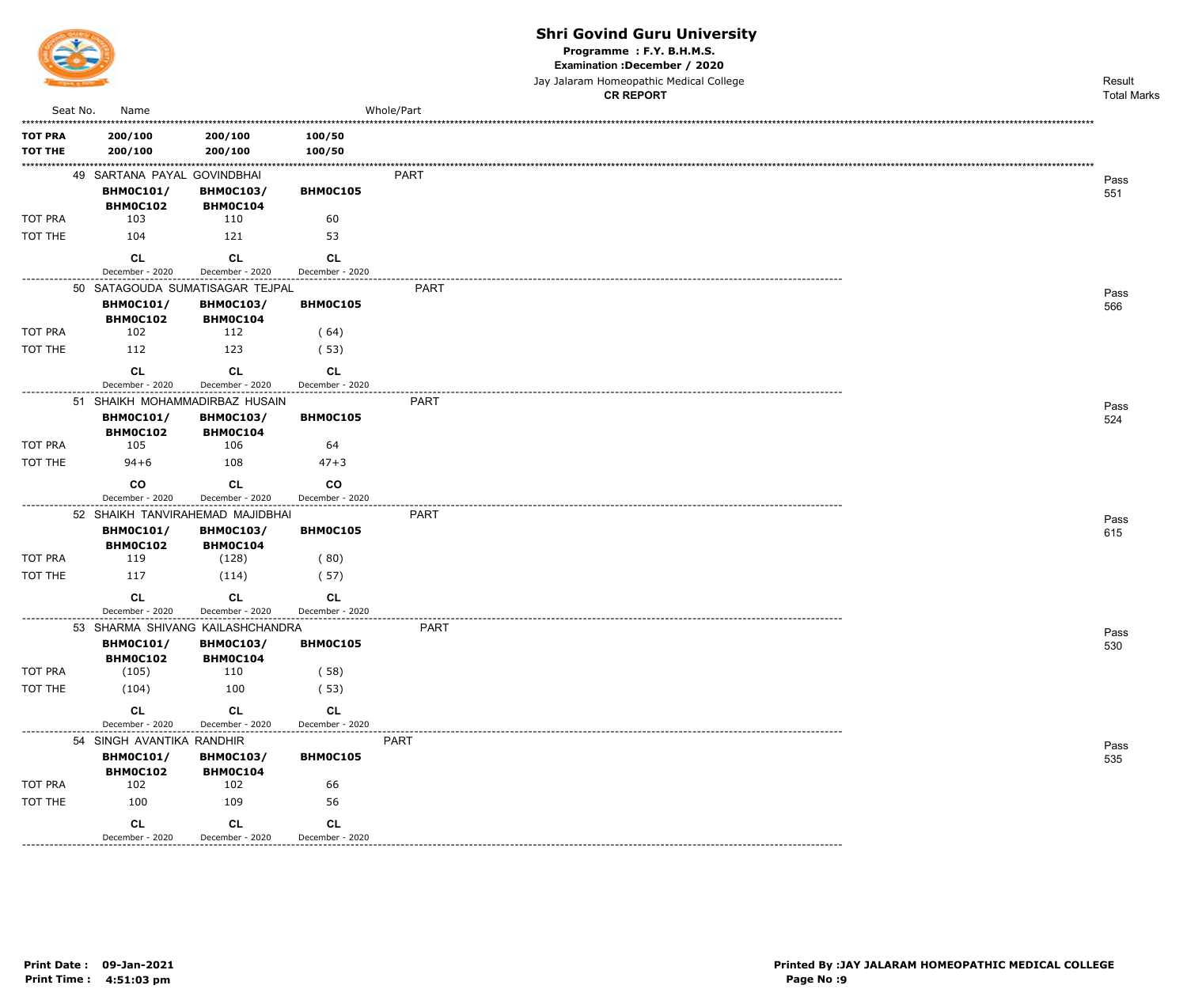

Programme : F.Y. B.H.M.S.

Examination : December / 2020

Jay Jalaram Homeopathic Medical College

|                           |                                     |                                     |                                                      | <b>CR REPORT</b> | <b>Total Marks</b> |
|---------------------------|-------------------------------------|-------------------------------------|------------------------------------------------------|------------------|--------------------|
| Seat No.                  | Name                                |                                     |                                                      | Whole/Part       |                    |
| <b>TOT PRA</b>            | 200/100                             | 200/100                             | 100/50                                               |                  |                    |
| <b>TOT THE</b>            | 200/100                             | 200/100                             | 100/50                                               |                  |                    |
|                           | 49 SARTANA PAYAL GOVINDBHAI         |                                     |                                                      | PART             | Pass               |
|                           | <b>BHM0C101/</b>                    | <b>BHM0C103/</b>                    | BHM0C105                                             |                  | 551                |
|                           | <b>BHM0C102</b>                     | BHM0C104                            |                                                      |                  |                    |
| TOT PRA                   | 103                                 | 110                                 | 60                                                   |                  |                    |
| TOT THE                   | 104                                 | 121                                 | 53                                                   |                  |                    |
|                           | <b>CL</b>                           | <b>CL</b>                           | CL                                                   |                  |                    |
| . - - - - - - - - - - - - | December - 2020                     | December - 2020                     | December - 2020                                      |                  |                    |
|                           |                                     | 50 SATAGOUDA SUMATISAGAR TEJPAL     |                                                      | <b>PART</b>      | Pass               |
|                           | <b>BHM0C101/</b><br><b>BHM0C102</b> | <b>BHM0C103/</b><br>BHM0C104        | BHM0C105                                             |                  | 566                |
| TOT PRA                   | 102                                 | 112                                 | (64)                                                 |                  |                    |
| TOT THE                   | 112                                 | 123                                 | (53)                                                 |                  |                    |
|                           |                                     |                                     |                                                      |                  |                    |
|                           | <b>CL</b><br>December - 2020        | CL<br>December - 2020               | CL<br>December - 2020                                |                  |                    |
| . - - - - - - - - - - - - |                                     | 51 SHAIKH MOHAMMADIRBAZ HUSAIN      |                                                      | PART             |                    |
|                           | <b>BHM0C101/</b>                    | <b>BHM0C103/</b>                    | BHM0C105                                             |                  | Pass<br>524        |
|                           | <b>BHM0C102</b>                     | BHM0C104                            |                                                      |                  |                    |
| TOT PRA                   | 105                                 | 106                                 | 64                                                   |                  |                    |
| TOT THE                   | $94 + 6$                            | 108                                 | $47 + 3$                                             |                  |                    |
|                           | co                                  | <b>CL</b>                           | co                                                   |                  |                    |
|                           | December - 2020                     | December - 2020                     | December - 2020<br>---------------------             |                  |                    |
|                           |                                     | 52 SHAIKH TANVIRAHEMAD MAJIDBHAI    |                                                      | <b>PART</b>      | Pass               |
|                           | <b>BHM0C101/</b><br>BHM0C102        | <b>BHM0C103/</b><br><b>BHM0C104</b> | BHM0C105                                             |                  | 615                |
| TOT PRA                   | 119                                 | (128)                               | (80)                                                 |                  |                    |
| TOT THE                   | 117                                 | (114)                               | (57)                                                 |                  |                    |
|                           | <b>CL</b>                           | CL                                  | CL                                                   |                  |                    |
|                           | December - 2020                     | December - 2020                     | December - 2020                                      |                  |                    |
|                           |                                     | 53 SHARMA SHIVANG KAILASHCHANDRA    |                                                      | <b>PART</b>      | Pass               |
|                           | <b>BHM0C101/</b>                    | <b>BHM0C103/</b>                    | BHM0C105                                             |                  | 530                |
|                           | <b>BHM0C102</b>                     | BHM0C104                            |                                                      |                  |                    |
| TOT PRA                   | (105)                               | 110                                 | (58)                                                 |                  |                    |
| TOT THE                   | (104)                               | 100                                 | (53)                                                 |                  |                    |
|                           | CL                                  | CL                                  | CL                                                   |                  |                    |
| --------------            | December - 2020                     | December - 2020                     | December - 2020<br>. _ _ _ _ _ _ _ _ _ _ _ _ _ _ _ _ |                  |                    |
|                           | 54 SINGH AVANTIKA RANDHIR           |                                     |                                                      | PART             | Pass               |
|                           | <b>BHM0C101/</b><br>BHM0C102        | <b>BHM0C103/</b><br>BHM0C104        | BHM0C105                                             |                  | 535                |
| TOT PRA                   | 102                                 | 102                                 | 66                                                   |                  |                    |
| TOT THE                   | 100                                 | 109                                 | 56                                                   |                  |                    |
|                           | <b>CL</b>                           | <b>CL</b>                           | <b>CL</b>                                            |                  |                    |
|                           | December - 2020                     | December - 2020                     | December - 2020                                      |                  |                    |
|                           |                                     |                                     |                                                      |                  |                    |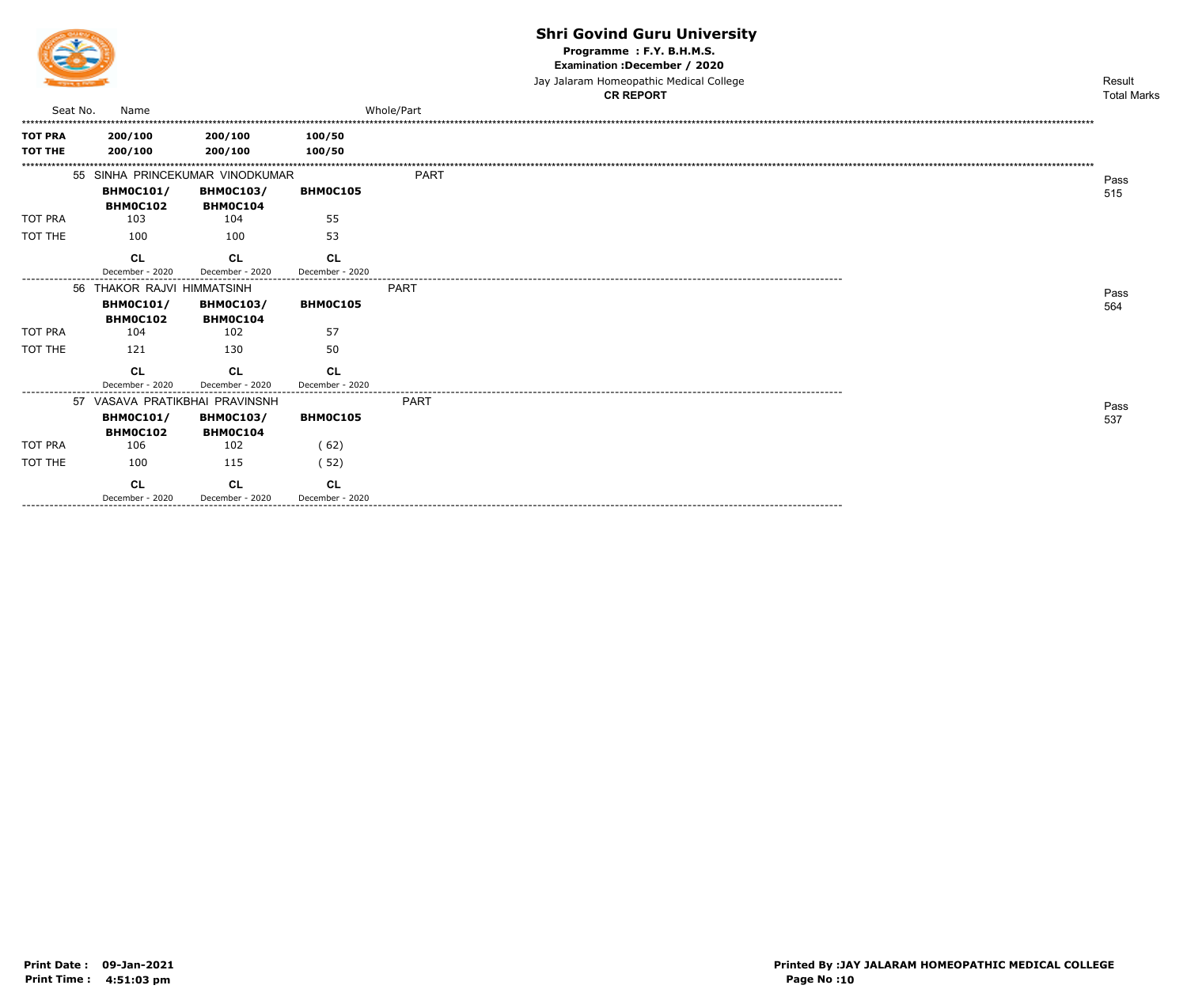

Programme: F.Y. B.H.M.S.

Examination : December / 2020

Jay Jalaram Homeopathic Medical College **CR REPORT** 

|                        |                            |                                 |                 | <b>CR REPORT</b> | <b>Total Marks</b> |
|------------------------|----------------------------|---------------------------------|-----------------|------------------|--------------------|
| Seat No.               | Name                       |                                 |                 | Whole/Part       |                    |
| <b>TOT PRA</b>         | 200/100                    | 200/100                         | 100/50          |                  |                    |
| <b>TOT THE</b>         | 200/100                    | 200/100                         | 100/50          |                  |                    |
|                        |                            |                                 |                 |                  |                    |
|                        |                            | 55 SINHA PRINCEKUMAR VINODKUMAR |                 | <b>PART</b>      | Pass               |
|                        | <b>BHM0C101/</b>           | <b>BHM0C103/</b>                | BHM0C105        |                  |                    |
|                        | <b>BHMOC102</b>            | BHM0C104                        |                 |                  | 515                |
| <b>TOT PRA</b>         | 103                        | 104                             | 55              |                  |                    |
| TOT THE                | 100                        | 100                             | 53              |                  |                    |
|                        | CL                         | <b>CL</b>                       | <b>CL</b>       |                  |                    |
|                        | December - 2020            | December - 2020                 | December - 2020 |                  |                    |
|                        | 56 THAKOR RAJVI HIMMATSINH |                                 |                 | PART             |                    |
|                        | <b>BHM0C101/</b>           | <b>BHM0C103/</b>                | <b>BHMOC105</b> |                  | Pass               |
|                        | <b>BHMOC102</b>            | BHM0C104                        |                 |                  | 564                |
| <b>TOT PRA</b>         | 104                        | 102                             | 57              |                  |                    |
| TOT THE                | 121                        | 130                             | 50              |                  |                    |
|                        |                            |                                 |                 |                  |                    |
|                        | CL                         | <b>CL</b>                       | <b>CL</b>       |                  |                    |
|                        | December - 2020            | December - 2020                 | December - 2020 |                  |                    |
|                        |                            | 57 VASAVA PRATIKBHAI PRAVINSNH  |                 | <b>PART</b>      | Pass               |
|                        | <b>BHM0C101/</b>           | <b>BHM0C103/</b>                | <b>BHMOC105</b> |                  | 537                |
|                        | BHM0C102                   | BHM0C104                        |                 |                  |                    |
| <b>TOT PRA</b>         | 106                        | 102                             | (62)            |                  |                    |
| TOT THE                | 100                        | 115                             | (52)            |                  |                    |
|                        | CL                         | <b>CL</b>                       | <b>CL</b>       |                  |                    |
| ---------------------- | December - 2020            | December - 2020                 | December - 2020 |                  |                    |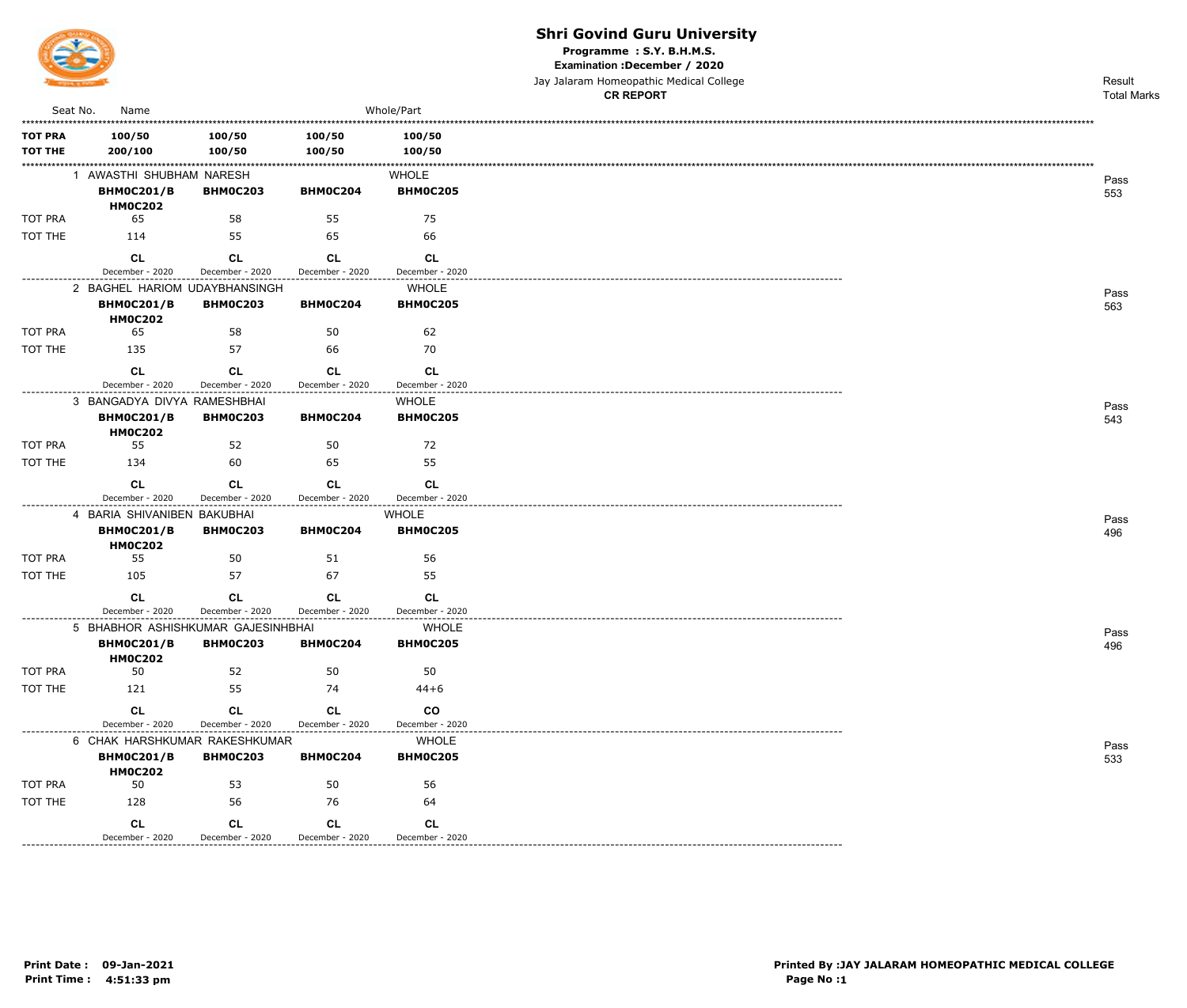

Programme: S.Y. B.H.M.S.

Examination : December / 2020

Jay Jalaram Homeopathic Medical College  $\overline{a}$ 

|                                  |                                                                    |                              |                              |                              | <b>CR REPORT</b> | <b>Total Marks</b> |
|----------------------------------|--------------------------------------------------------------------|------------------------------|------------------------------|------------------------------|------------------|--------------------|
| Seat No.                         | Name                                                               |                              |                              | Whole/Part                   |                  |                    |
| <b>TOT PRA</b><br><b>TOT THE</b> | 100/50<br>200/100                                                  | 100/50<br>100/50             | 100/50<br>100/50             | 100/50<br>100/50             |                  |                    |
|                                  | 1 AWASTHI SHUBHAM NARESH                                           |                              |                              | <b>WHOLE</b>                 |                  |                    |
|                                  | <b>BHM0C201/B</b><br><b>HM0C202</b>                                | <b>BHM0C203</b>              | BHM0C204                     | <b>BHM0C205</b>              |                  | Pass<br>553        |
| TOT PRA                          | 65                                                                 | 58                           | 55                           | 75                           |                  |                    |
| TOT THE                          | 114                                                                | 55                           | 65                           | 66                           |                  |                    |
|                                  | CL<br>December - 2020                                              | <b>CL</b><br>December - 2020 | <b>CL</b><br>December - 2020 | <b>CL</b><br>December - 2020 |                  |                    |
|                                  | 2 BAGHEL HARIOM UDAYBHANSINGH                                      |                              |                              | <b>WHOLE</b>                 |                  |                    |
|                                  | <b>BHM0C201/B</b><br><b>HM0C202</b>                                | <b>BHM0C203</b>              | BHM0C204                     | <b>BHM0C205</b>              |                  | Pass<br>563        |
| TOT PRA                          | 65                                                                 | 58                           | 50                           | 62                           |                  |                    |
| TOT THE                          | 135                                                                | 57                           | 66                           | 70                           |                  |                    |
|                                  | CL<br>December - 2020                                              | CL<br>December - 2020        | CL<br>December - 2020        | <b>CL</b><br>December - 2020 |                  |                    |
|                                  | 3 BANGADYA DIVYA RAMESHBHAI                                        |                              |                              | <b>WHOLE</b>                 |                  | Pass               |
|                                  | <b>BHM0C201/B</b><br><b>HM0C202</b>                                | <b>BHM0C203</b>              | BHM0C204                     | <b>BHM0C205</b>              |                  | 543                |
| TOT PRA                          | 55                                                                 | 52                           | 50                           | 72                           |                  |                    |
| TOT THE                          | 134                                                                | 60                           | 65                           | 55                           |                  |                    |
|                                  | <b>CL</b>                                                          | <b>CL</b>                    | <b>CL</b>                    | <b>CL</b>                    |                  |                    |
|                                  | December - 2020                                                    | December - 2020              | December - 2020              | December - 2020              |                  |                    |
|                                  | 4 BARIA SHIVANIBEN BAKUBHAI<br><b>BHM0C201/B</b><br><b>HM0C202</b> | <b>BHM0C203</b>              | BHM0C204                     | <b>WHOLE</b><br>BHM0C205     |                  | Pass<br>496        |
| TOT PRA                          | 55                                                                 | 50                           | 51                           | 56                           |                  |                    |
| TOT THE                          | 105                                                                | 57                           | 67                           | 55                           |                  |                    |
|                                  | <b>CL</b><br>December - 2020                                       | <b>CL</b><br>December - 2020 | <b>CL</b><br>December - 2020 | <b>CL</b><br>December - 2020 |                  |                    |
|                                  | 5 BHABHOR ASHISHKUMAR GAJESINHBHAI                                 |                              |                              | <b>WHOLE</b>                 |                  | Pass               |
|                                  | <b>BHM0C201/B</b><br><b>HM0C202</b>                                | <b>BHM0C203</b>              | BHM0C204                     | <b>BHM0C205</b>              |                  | 496                |
| TOT PRA                          | 50                                                                 | 52                           | 50                           | 50                           |                  |                    |
| TOT THE                          | 121                                                                | 55                           | 74                           | $44 + 6$                     |                  |                    |
|                                  | <b>CL</b>                                                          | <b>CL</b>                    | CL                           | co                           |                  |                    |
| -------------                    | December - 2020                                                    | December - 2020              | December - 2020              | December - 2020              |                  |                    |
|                                  | 6 CHAK HARSHKUMAR RAKESHKUMAR                                      |                              |                              | <b>WHOLE</b>                 |                  | Pass               |
|                                  | <b>BHM0C201/B</b><br><b>HM0C202</b>                                | <b>BHM0C203</b>              | <b>BHM0C204</b>              | <b>BHM0C205</b>              |                  | 533                |
| TOT PRA                          | 50                                                                 | 53                           | 50                           | 56                           |                  |                    |
| TOT THE                          | 128                                                                | 56                           | 76                           | 64                           |                  |                    |
|                                  | CL<br>December - 2020                                              | <b>CL</b><br>December - 2020 | CL<br>December - 2020        | <b>CL</b><br>December - 2020 |                  |                    |
|                                  |                                                                    |                              |                              |                              |                  |                    |

\_\_\_\_\_\_\_\_\_\_\_\_\_\_\_\_\_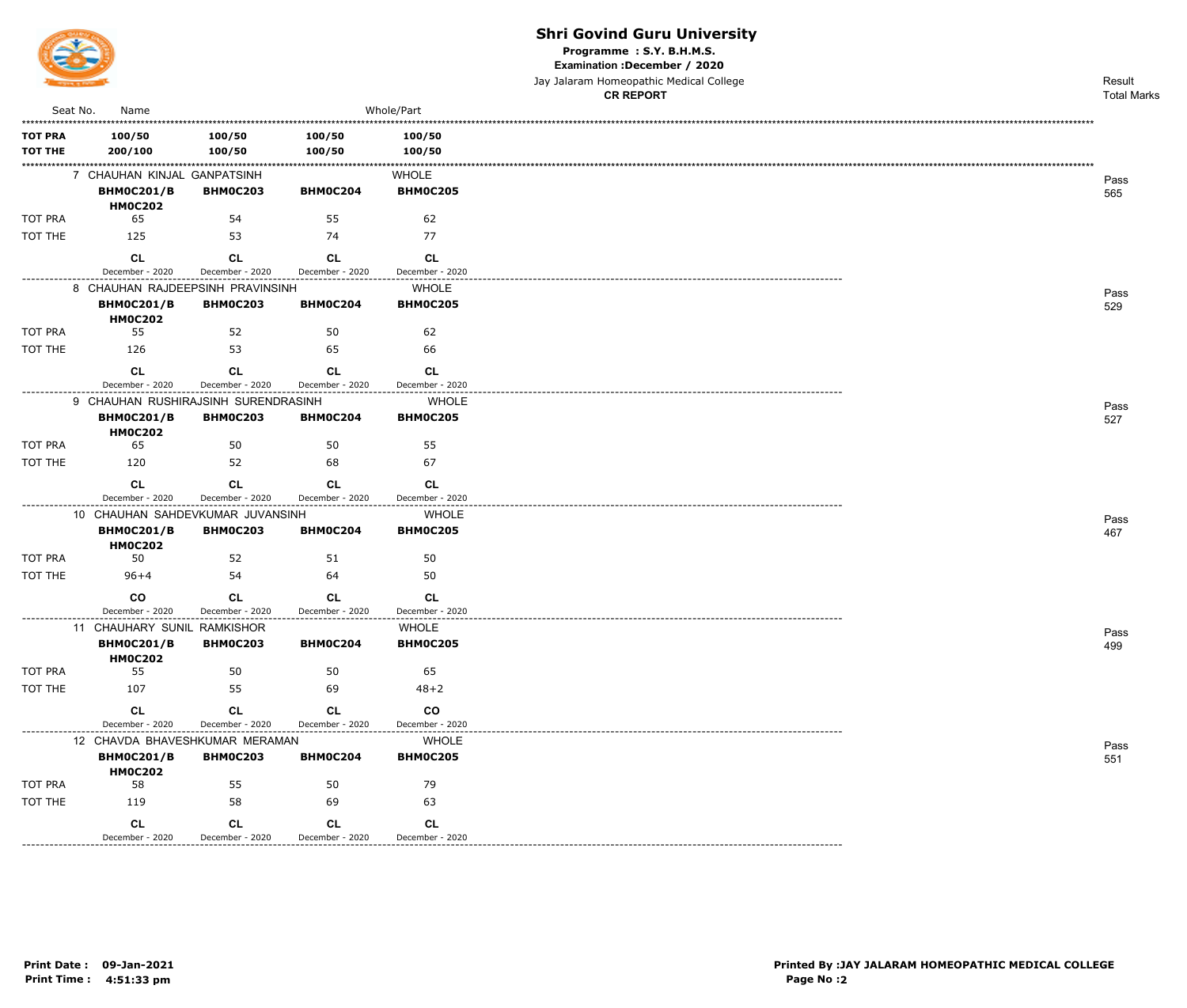

Programme: S.Y. B.H.M.S.

Examination : December / 2020

Jay Jalaram Homeopathic Medical College **CR REPORT** 

Result **Total Marks** 

| Seat No.                         | Name                                                               |                              |                              | Whole/Part                                                             |
|----------------------------------|--------------------------------------------------------------------|------------------------------|------------------------------|------------------------------------------------------------------------|
| <b>TOT PRA</b><br><b>TOT THE</b> | 100/50<br>200/100                                                  | 100/50<br>100/50             | 100/50<br>100/50             | 100/50<br>100/50                                                       |
|                                  | 7 CHAUHAN KINJAL GANPATSINH<br><b>BHM0C201/B</b><br><b>HM0C202</b> | <b>BHM0C203</b>              | BHM0C204                     | WHOLE<br><b>BHM0C205</b>                                               |
| <b>TOT PRA</b>                   | 65                                                                 | 54                           | 55                           | 62                                                                     |
| TOT THE                          | 125                                                                | 53                           | 74                           | 77                                                                     |
|                                  | CL<br>December - 2020                                              | <b>CL</b><br>December - 2020 | <b>CL</b><br>December - 2020 | CL<br>December - 2020                                                  |
|                                  | 8 CHAUHAN RAJDEEPSINH PRAVINSINH                                   |                              |                              | <b>WHOLE</b>                                                           |
|                                  | <b>BHM0C201/B</b><br><b>HM0C202</b>                                | <b>BHM0C203</b>              | BHM0C204                     | <b>BHM0C205</b>                                                        |
| TOT PRA                          | 55                                                                 | 52                           | 50                           | 62                                                                     |
| TOT THE                          | 126                                                                | 53                           | 65                           | 66                                                                     |
|                                  | CL<br>December - 2020                                              | CL<br>December - 2020        | CL<br>December - 2020        | CL<br>December - 2020                                                  |
|                                  | 9 CHAUHAN RUSHIRAJSINH SURENDRASINH<br><b>BHM0C201/B</b>           | <b>BHM0C203</b>              | BHM0C204                     | <b>WHOLE</b><br><b>BHM0C205</b>                                        |
| <b>TOT PRA</b>                   | <b>HM0C202</b><br>65                                               | 50                           | 50                           | 55                                                                     |
| TOT THE                          | 120                                                                | 52                           | 68                           | 67                                                                     |
|                                  | CL                                                                 | <b>CL</b>                    | CL                           | <b>CL</b>                                                              |
|                                  | December - 2020                                                    | December - 2020              | December - 2020              | December - 2020                                                        |
|                                  | 10 CHAUHAN SAHDEVKUMAR JUVANSINH                                   |                              |                              | <b>WHOLE</b>                                                           |
|                                  | <b>BHM0C201/B</b><br><b>HM0C202</b>                                | <b>BHM0C203</b>              | BHM0C204                     | <b>BHM0C205</b>                                                        |
| TOT PRA                          | 50                                                                 | 52                           | 51                           | 50                                                                     |
| TOT THE                          | $96 + 4$                                                           | 54                           | 64                           | 50                                                                     |
|                                  | $_{\rm CO}$<br>December - 2020                                     | <b>CL</b><br>December - 2020 | CL<br>December - 2020        | <b>CL</b><br>December - 2020                                           |
|                                  | 11 CHAUHARY SUNIL RAMKISHOR<br><b>BHM0C201/B</b><br><b>HM0C202</b> | <b>BHM0C203</b>              | BHM0C204                     | . _ _ _ _ _ _ _ _ _ _ _ _ _ _ _ _ _<br><b>WHOLE</b><br><b>BHM0C205</b> |
| TOT PRA                          | 55                                                                 | 50                           | 50                           | 65                                                                     |
| TOT THE                          | 107                                                                | 55                           | 69                           | $48 + 2$                                                               |
|                                  | <b>CL</b><br>December - 2020                                       | <b>CL</b><br>December - 2020 | CL<br>December - 2020        | $_{\rm CO}$<br>December - 2020                                         |
|                                  | 12 CHAVDA BHAVESHKUMAR MERAMAN                                     |                              |                              | <b>WHOLE</b>                                                           |
|                                  | <b>BHM0C201/B</b><br><b>HM0C202</b>                                | <b>BHM0C203</b>              | BHM0C204                     | <b>BHM0C205</b>                                                        |
| TOT PRA                          | 58                                                                 | 55                           | 50                           | 79                                                                     |
| TOT THE                          | 119                                                                | 58                           | 69                           | 63                                                                     |
|                                  | CL                                                                 | <b>CL</b>                    | <b>CL</b>                    | <b>CL</b>                                                              |
|                                  | December - 2020                                                    | December - 2020              | December - 2020              | December - 2020                                                        |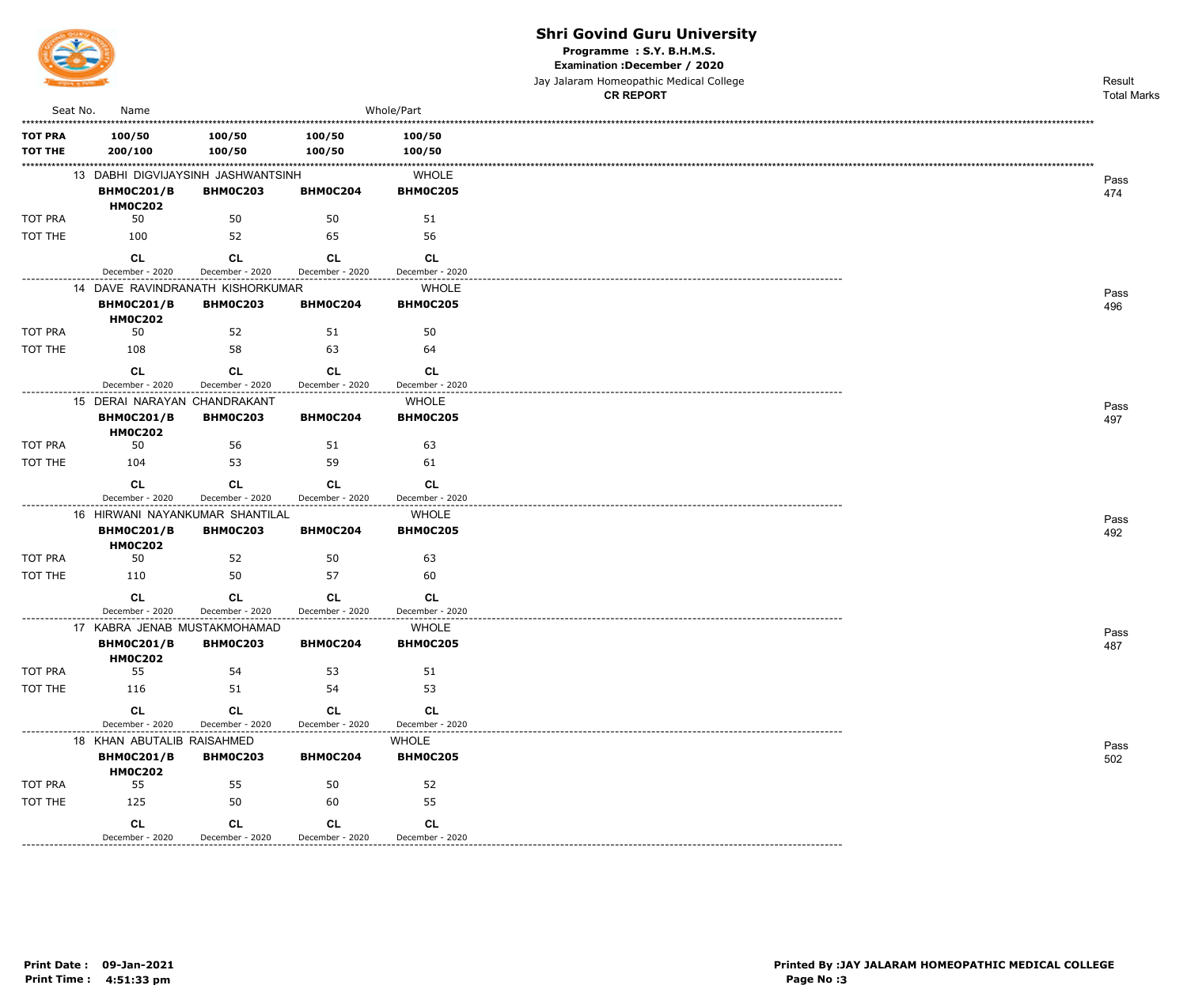

Programme: S.Y. B.H.M.S.

Examination : December / 2020

Jay Jalaram Homeopathic Medical College

|                                  |                                                                         |                              |                                 |                                 | <b>CR REPORT</b> | <b>Total Marks</b> |
|----------------------------------|-------------------------------------------------------------------------|------------------------------|---------------------------------|---------------------------------|------------------|--------------------|
| Seat No.                         | Name                                                                    |                              |                                 | Whole/Part                      |                  |                    |
| <b>TOT PRA</b><br><b>TOT THE</b> | 100/50<br>200/100                                                       | 100/50<br>100/50             | 100/50<br>100/50                | 100/50<br>100/50                |                  |                    |
|                                  | 13 DABHI DIGVIJAYSINH JASHWANTSINH<br><b>BHM0C201/B</b>                 | <b>BHM0C203</b>              | BHM0C204                        | <b>WHOLE</b><br><b>BHM0C205</b> |                  | Pass<br>474        |
| <b>TOT PRA</b>                   | <b>HM0C202</b><br>50                                                    | 50                           | 50                              | 51                              |                  |                    |
| TOT THE                          | 100                                                                     | 52                           | 65                              | 56                              |                  |                    |
|                                  | <b>CL</b>                                                               | <b>CL</b>                    | <b>CL</b>                       | <b>CL</b>                       |                  |                    |
| -----------                      | December - 2020                                                         | December - 2020              | December - 2020                 | December - 2020                 |                  |                    |
|                                  | 14 DAVE RAVINDRANATH KISHORKUMAR<br><b>BHM0C201/B</b><br><b>HM0C202</b> | <b>BHM0C203</b>              | <b>BHM0C204</b>                 | <b>WHOLE</b><br><b>BHM0C205</b> |                  | Pass<br>496        |
| TOT PRA                          | 50                                                                      | 52                           | 51                              | 50                              |                  |                    |
| TOT THE                          | 108                                                                     | 58                           | 63                              | 64                              |                  |                    |
|                                  | <b>CL</b><br>December - 2020                                            | <b>CL</b><br>December - 2020 | CL<br>December - 2020           | <b>CL</b><br>December - 2020    |                  |                    |
|                                  | 15 DERAI NARAYAN CHANDRAKANT<br><b>BHM0C201/B</b>                       | <b>BHM0C203</b>              | BHM0C204                        | <b>WHOLE</b><br><b>BHM0C205</b> |                  | Pass<br>497        |
| <b>TOT PRA</b>                   | <b>HM0C202</b><br>50                                                    | 56                           | 51                              | 63                              |                  |                    |
| TOT THE                          | 104                                                                     | 53                           | 59                              | 61                              |                  |                    |
|                                  | <b>CL</b>                                                               | <b>CL</b>                    | <b>CL</b>                       | <b>CL</b>                       |                  |                    |
|                                  | December - 2020                                                         | December - 2020              | December - 2020                 | December - 2020                 |                  |                    |
|                                  | 16 HIRWANI NAYANKUMAR SHANTILAL<br><b>BHM0C201/B</b><br><b>HM0C202</b>  | <b>BHM0C203</b>              | <b>BHM0C204</b>                 | <b>WHOLE</b><br><b>BHM0C205</b> |                  | Pass<br>492        |
| <b>TOT PRA</b>                   | 50                                                                      | 52                           | 50                              | 63                              |                  |                    |
| TOT THE                          | 110                                                                     | 50                           | 57                              | 60                              |                  |                    |
|                                  | <b>CL</b><br>December - 2020                                            | <b>CL</b><br>December - 2020 | <b>CL</b><br>December - 2020    | <b>CL</b><br>December - 2020    |                  |                    |
|                                  | 17 KABRA JENAB MUSTAKMOHAMAD                                            |                              |                                 | <b>WHOLE</b>                    |                  | Pass               |
|                                  | <b>BHM0C201/B</b><br><b>HM0C202</b>                                     | <b>BHM0C203</b>              | BHM0C204                        | <b>BHM0C205</b>                 |                  | 487                |
| TOT PRA                          | 55                                                                      | 54                           | 53                              | 51                              |                  |                    |
| TOT THE                          | 116                                                                     | 51                           | 54                              | 53                              |                  |                    |
|                                  | <b>CL</b>                                                               | <b>CL</b>                    | <b>CL</b>                       | <b>CL</b>                       |                  |                    |
| .                                | December - 2020                                                         | December - 2020              | December - 2020<br>. <u>.</u> . | December - 2020                 |                  |                    |
|                                  | 18 KHAN ABUTALIB RAISAHMED<br><b>BHM0C201/B</b><br><b>HM0C202</b>       | <b>BHM0C203</b>              | <b>BHM0C204</b>                 | <b>WHOLE</b><br><b>BHM0C205</b> |                  | Pass<br>502        |
| TOT PRA                          | 55                                                                      | 55                           | 50                              | 52                              |                  |                    |
| TOT THE                          | 125                                                                     | 50                           | 60                              | 55                              |                  |                    |
|                                  | CL<br>December - 2020                                                   | <b>CL</b><br>December - 2020 | CL<br>December - 2020           | CL<br>December - 2020           |                  |                    |

----------------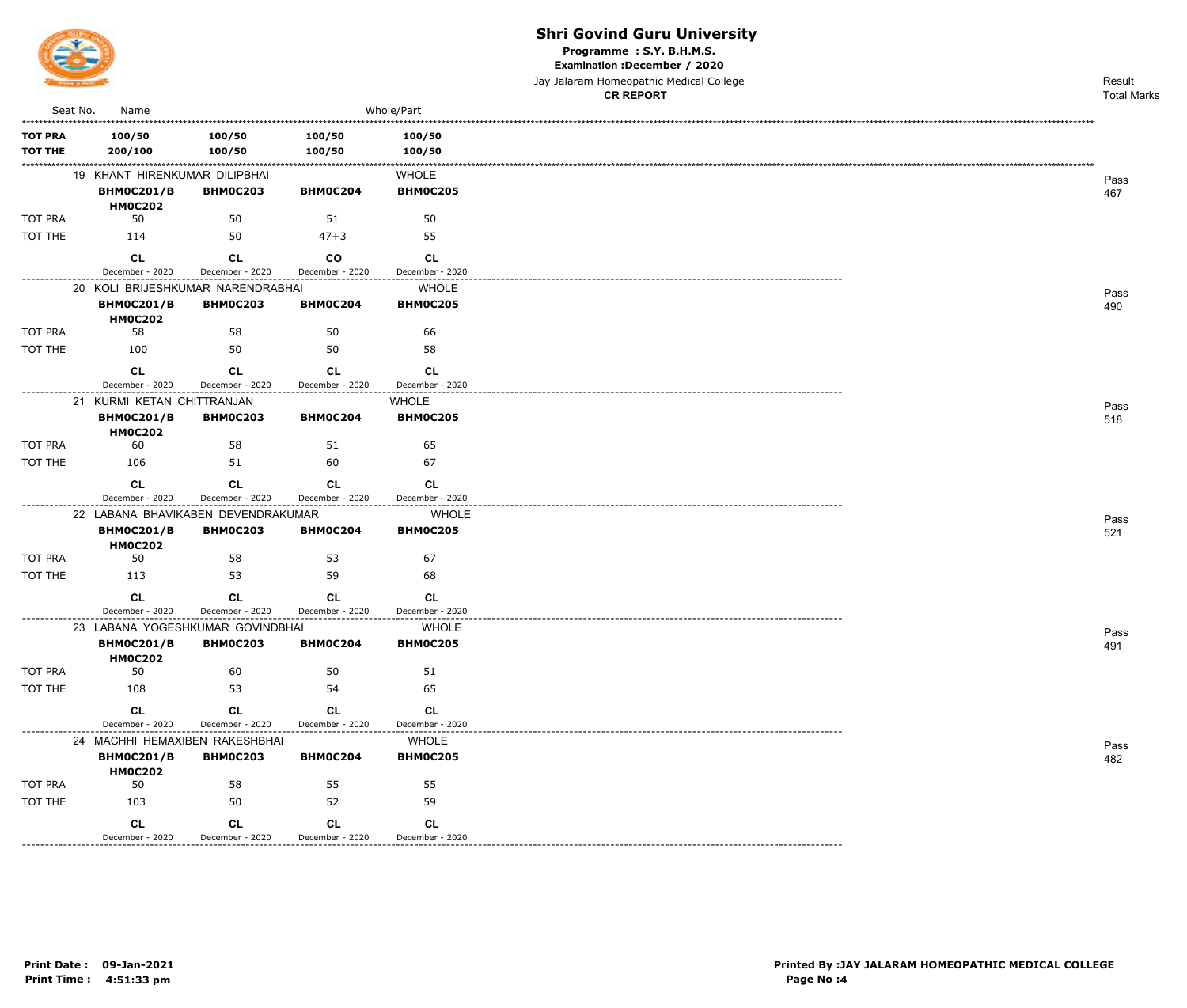

Programme: S.Y. B.H.M.S.

Examination : December / 2020

Jay Jalaram Homeopathic Medical College  $\overline{a}$ 

|                                  |                                                         |                              |                              |                              | <b>CR REPORT</b> | <b>Total Marks</b> |
|----------------------------------|---------------------------------------------------------|------------------------------|------------------------------|------------------------------|------------------|--------------------|
| Seat No.                         | Name                                                    |                              |                              | Whole/Part                   |                  |                    |
| <b>TOT PRA</b><br><b>TOT THE</b> | 100/50<br>200/100                                       | 100/50<br>100/50             | 100/50<br>100/50             | 100/50<br>100/50             |                  |                    |
|                                  | 19 KHANT HIRENKUMAR DILIPBHAI                           |                              |                              | <b>WHOLE</b>                 |                  | Pass               |
|                                  | <b>BHM0C201/B</b><br><b>HM0C202</b>                     | <b>BHM0C203</b>              | BHM0C204                     | BHM0C205                     |                  | 467                |
| TOT PRA                          | 50                                                      | 50                           | 51                           | 50                           |                  |                    |
| TOT THE                          | 114                                                     | 50                           | $47 + 3$                     | 55                           |                  |                    |
|                                  | <b>CL</b><br>December - 2020                            | CL<br>December - 2020        | <b>CO</b><br>December - 2020 | <b>CL</b><br>December - 2020 |                  |                    |
|                                  | 20 KOLI BRIJESHKUMAR NARENDRABHAI                       |                              |                              | <b>WHOLE</b>                 |                  |                    |
|                                  | <b>BHM0C201/B</b><br><b>HM0C202</b>                     | <b>BHM0C203</b>              | BHM0C204                     | BHM0C205                     |                  | Pass<br>490        |
| TOT PRA                          | 58                                                      | 58                           | 50                           | 66                           |                  |                    |
| TOT THE                          | 100                                                     | 50                           | 50                           | 58                           |                  |                    |
|                                  | <b>CL</b><br>December - 2020                            | <b>CL</b><br>December - 2020 | CL<br>December - 2020        | <b>CL</b><br>December - 2020 |                  |                    |
|                                  | 21 KURMI KETAN CHITTRANJAN                              |                              |                              | <b>WHOLE</b>                 |                  | Pass               |
|                                  | <b>BHM0C201/B</b><br><b>HM0C202</b>                     | <b>BHM0C203</b>              | BHM0C204                     | <b>BHM0C205</b>              |                  | 518                |
| TOT PRA                          | 60                                                      | 58                           | 51                           | 65                           |                  |                    |
| TOT THE                          | 106                                                     | 51                           | 60                           | 67                           |                  |                    |
|                                  | CL                                                      | <b>CL</b>                    | <b>CL</b>                    | <b>CL</b>                    |                  |                    |
| -------------                    | December - 2020                                         | December - 2020              | December - 2020              | December - 2020              |                  |                    |
|                                  | 22 LABANA BHAVIKABEN DEVENDRAKUMAR<br><b>BHM0C201/B</b> | <b>BHM0C203</b>              | BHM0C204                     | <b>WHOLE</b><br>BHM0C205     |                  | Pass               |
|                                  | <b>HM0C202</b>                                          |                              |                              |                              |                  | 521                |
| TOT PRA                          | 50                                                      | 58                           | 53                           | 67                           |                  |                    |
| TOT THE                          | 113                                                     | 53                           | 59                           | 68                           |                  |                    |
|                                  | CL<br>December - 2020                                   | <b>CL</b><br>December - 2020 | <b>CL</b><br>December - 2020 | <b>CL</b><br>December - 2020 |                  |                    |
|                                  | 23 LABANA YOGESHKUMAR GOVINDBHAI                        |                              | -------------------          | <b>WHOLE</b>                 |                  | Pass               |
|                                  | <b>BHM0C201/B</b><br><b>HM0C202</b>                     | <b>BHM0C203</b>              | <b>BHM0C204</b>              | <b>BHM0C205</b>              |                  | 491                |
| TOT PRA                          | 50                                                      | 60                           | 50                           | 51                           |                  |                    |
| TOT THE                          | 108                                                     | 53                           | 54                           | 65                           |                  |                    |
|                                  | <b>CL</b><br>December - 2020                            | CL<br>December - 2020        | <b>CL</b><br>December - 2020 | <b>CL</b><br>December - 2020 |                  |                    |
|                                  | 24 MACHHI HEMAXIBEN RAKESHBHAI                          |                              |                              | <b>WHOLE</b>                 |                  | Pass               |
|                                  | <b>BHM0C201/B</b><br><b>HM0C202</b>                     | <b>BHM0C203</b>              | <b>BHM0C204</b>              | <b>BHM0C205</b>              |                  | 482                |
| TOT PRA                          | 50                                                      | 58                           | 55                           | 55                           |                  |                    |
| TOT THE                          | 103                                                     | 50                           | 52                           | 59                           |                  |                    |
|                                  | CL<br>December - 2020                                   | CL<br>December - 2020        | <b>CL</b><br>December - 2020 | CL<br>December - 2020        |                  |                    |
|                                  |                                                         |                              |                              |                              |                  |                    |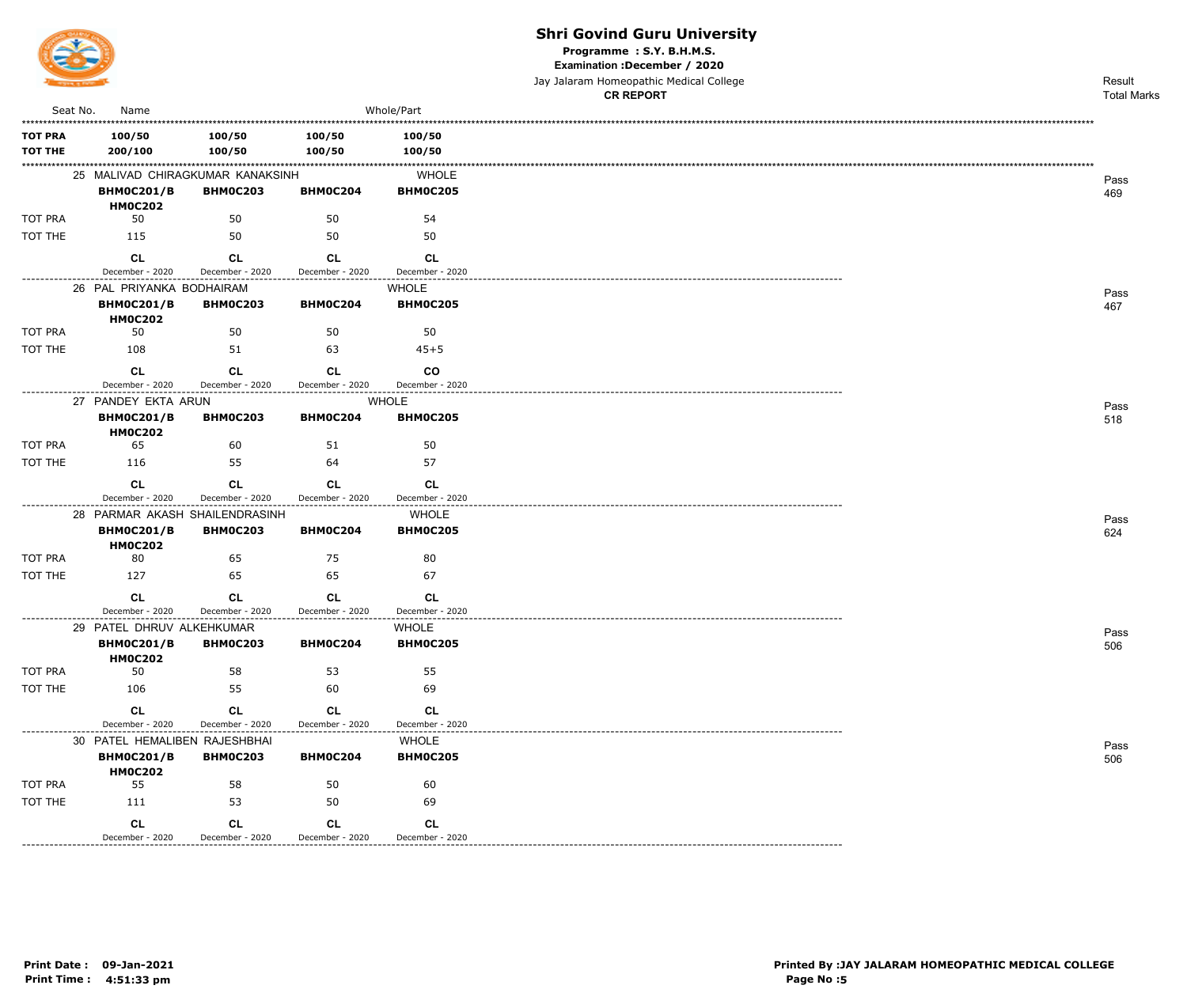

Programme: S.Y. B.H.M.S.

Examination : December / 2020

Jay Jalaram Homeopathic Medical College

|                |                                                |                                                     |                      |                                 | <b>CR REPORT</b>                   | <b>Total Marks</b> |
|----------------|------------------------------------------------|-----------------------------------------------------|----------------------|---------------------------------|------------------------------------|--------------------|
| Seat No.       | Name                                           |                                                     |                      | Whole/Part                      |                                    |                    |
| <b>TOT PRA</b> | 100/50                                         | 100/50                                              | 100/50               | 100/50                          |                                    |                    |
| <b>TOT THE</b> | 200/100                                        | 100/50                                              | 100/50               | 100/50                          |                                    |                    |
|                |                                                | 25 MALIVAD CHIRAGKUMAR KANAKSINH                    |                      | <b>WHOLE</b>                    |                                    |                    |
|                | <b>BHM0C201/B</b>                              | <b>BHM0C203</b>                                     | BHM0C204             | <b>BHM0C205</b>                 |                                    | Pass<br>469        |
|                | <b>HM0C202</b>                                 |                                                     |                      |                                 |                                    |                    |
| <b>TOT PRA</b> | 50                                             | 50                                                  | 50                   | 54                              |                                    |                    |
| TOT THE        | 115                                            | 50                                                  | 50                   | 50                              |                                    |                    |
|                | <b>CL</b>                                      | <b>CL</b>                                           | <b>CL</b>            | <b>CL</b>                       |                                    |                    |
| .              | December - 2020                                | December - 2020                                     | December - 2020      | December - 2020                 | ---------------------------------- |                    |
|                | 26 PAL PRIYANKA BODHAIRAM                      |                                                     |                      | <b>WHOLE</b>                    |                                    | Pass               |
|                | <b>BHM0C201/B</b><br><b>HM0C202</b>            | <b>BHM0C203</b>                                     | BHM0C204             | <b>BHM0C205</b>                 |                                    | 467                |
| <b>TOT PRA</b> | 50                                             | 50                                                  | 50                   | 50                              |                                    |                    |
| TOT THE        | 108                                            | 51                                                  | 63                   | $45 + 5$                        |                                    |                    |
|                | <b>CL</b>                                      | CL                                                  | <b>CL</b>            | <b>CO</b>                       |                                    |                    |
|                | December - 2020                                | December - 2020                                     | December - 2020      | December - 2020                 |                                    |                    |
|                | 27 PANDEY EKTA ARUN                            |                                                     |                      | <b>WHOLE</b>                    |                                    | Pass               |
|                | <b>BHM0C201/B</b>                              | <b>BHMOC203</b>                                     | BHM0C204             | <b>BHM0C205</b>                 |                                    | 518                |
|                | <b>HM0C202</b>                                 |                                                     |                      |                                 |                                    |                    |
| <b>TOT PRA</b> | 65                                             | 60                                                  | 51                   | 50                              |                                    |                    |
| TOT THE        | 116                                            | 55                                                  | 64                   | 57                              |                                    |                    |
|                | <b>CL</b>                                      | <b>CL</b>                                           | <b>CL</b>            | <b>CL</b>                       |                                    |                    |
|                | December - 2020                                | December - 2020                                     | December - 2020      | December - 2020                 |                                    |                    |
|                | <b>BHM0C201/B</b>                              | 28 PARMAR AKASH SHAILENDRASINH<br><b>BHM0C203</b>   | BHM0C204             | <b>WHOLE</b><br><b>BHM0C205</b> |                                    | Pass<br>624        |
|                | <b>HM0C202</b>                                 |                                                     |                      |                                 |                                    |                    |
| TOT PRA        | 80                                             | 65                                                  | 75                   | 80                              |                                    |                    |
| TOT THE        | 127                                            | 65                                                  | 65                   | 67                              |                                    |                    |
|                | <b>CL</b>                                      | <b>CL</b>                                           | CL.                  | <b>CL</b>                       |                                    |                    |
|                | December - 2020                                | December - 2020                                     | December - 2020      | December - 2020                 |                                    |                    |
|                | 29 PATEL DHRUV ALKEHKUMAR                      |                                                     |                      | <b>WHOLE</b>                    |                                    | Pass               |
|                | <b>BHM0C201/B</b>                              | <b>BHM0C203</b>                                     | <b>BHM0C204</b>      | <b>BHM0C205</b>                 |                                    | 506                |
| TOT PRA        | <b>HM0C202</b><br>50                           | 58                                                  | 53                   | 55                              |                                    |                    |
| TOT THE        | 106                                            | 55                                                  | 60                   | 69                              |                                    |                    |
|                | <b>CL</b>                                      | <b>CL</b>                                           | <b>CL</b>            | CL                              |                                    |                    |
|                | December - 2020                                | December - 2020                                     | December - 2020      | December - 2020                 |                                    |                    |
|                | ------------------------------------           | ------------------<br>30 PATEL HEMALIBEN RAJESHBHAI | -------------------- | <b>WHOLE</b>                    |                                    | Pass               |
|                | <b>BHM0C201/B</b>                              | <b>BHM0C203</b>                                     | <b>BHM0C204</b>      | <b>BHM0C205</b>                 |                                    | 506                |
|                | <b>HM0C202</b>                                 |                                                     |                      |                                 |                                    |                    |
| TOT PRA        | 55                                             | 58                                                  | 50                   | 60                              |                                    |                    |
| TOT THE        | 111                                            | 53                                                  | 50                   | 69                              |                                    |                    |
|                | <b>CL</b>                                      | <b>CL</b>                                           | <b>CL</b>            | <b>CL</b>                       |                                    |                    |
|                | December - 2020<br>--------------------------- | December - 2020                                     | December - 2020      | December - 2020                 |                                    |                    |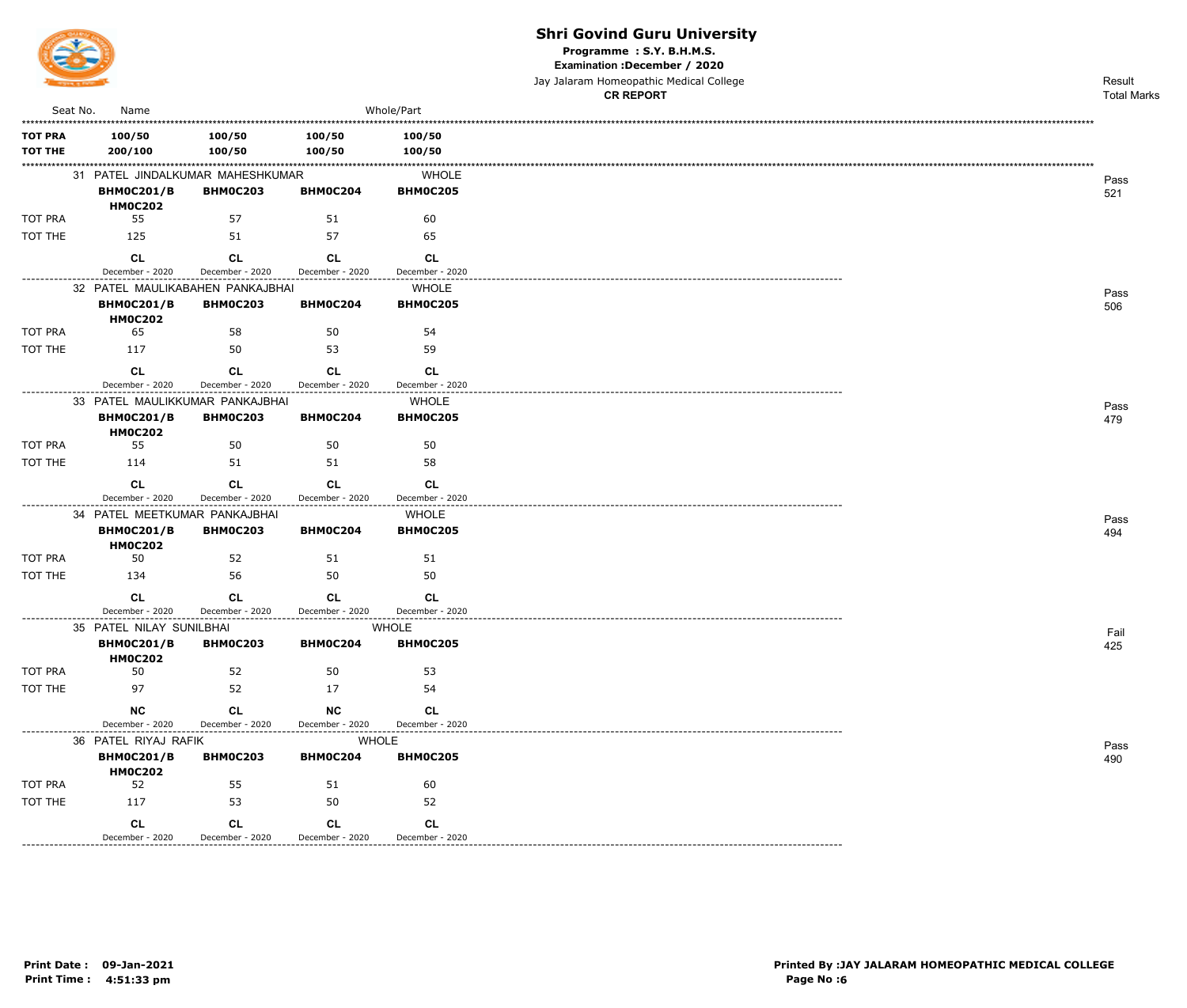

Programme : S.Y. B.H.M.S.

Examination : December / 2020

|                |                                     |                 |                 |                 | Jay Jalaram Homeopathic Medical College | Result             |
|----------------|-------------------------------------|-----------------|-----------------|-----------------|-----------------------------------------|--------------------|
|                |                                     |                 |                 |                 | <b>CR REPORT</b>                        | <b>Total Marks</b> |
| Seat No.       | Name                                |                 |                 | Whole/Part      |                                         |                    |
| <b>TOT PRA</b> | 100/50                              | 100/50          | 100/50          | 100/50          |                                         |                    |
| <b>TOT THE</b> | 200/100                             | 100/50          | 100/50          | 100/50          |                                         |                    |
|                | 31 PATEL JINDALKUMAR MAHESHKUMAR    |                 |                 | <b>WHOLE</b>    |                                         |                    |
|                | <b>BHM0C201/B</b>                   | <b>BHM0C203</b> | BHM0C204        | <b>BHM0C205</b> |                                         | Pass<br>521        |
|                | <b>HM0C202</b>                      |                 |                 |                 |                                         |                    |
| <b>TOT PRA</b> | 55                                  | 57              | 51              | 60              |                                         |                    |
| TOT THE        | 125                                 | 51              | 57              | 65              |                                         |                    |
|                | <b>CL</b>                           | <b>CL</b>       | <b>CL</b>       | <b>CL</b>       |                                         |                    |
|                | December - 2020                     | December - 2020 | December - 2020 | December - 2020 |                                         |                    |
|                | 32 PATEL MAULIKABAHEN PANKAJBHAI    |                 |                 | <b>WHOLE</b>    |                                         | Pass               |
|                | <b>BHM0C201/B</b>                   | <b>BHM0C203</b> | BHM0C204        | <b>BHM0C205</b> |                                         | 506                |
|                | <b>HM0C202</b>                      |                 |                 |                 |                                         |                    |
| <b>TOT PRA</b> | 65                                  | 58              | 50              | 54              |                                         |                    |
| TOT THE        | 117                                 | 50              | 53              | 59              |                                         |                    |
|                | CL                                  | <b>CL</b>       | <b>CL</b>       | <b>CL</b>       |                                         |                    |
|                | December - 2020                     | December - 2020 | December - 2020 | December - 2020 |                                         |                    |
|                | 33 PATEL MAULIKKUMAR PANKAJBHAI     |                 |                 | <b>WHOLE</b>    |                                         | Pass               |
|                | <b>BHM0C201/B</b>                   | <b>BHM0C203</b> | BHM0C204        | <b>BHM0C205</b> |                                         | 479                |
|                | <b>HM0C202</b>                      |                 |                 |                 |                                         |                    |
| <b>TOT PRA</b> | 55                                  | 50              | 50              | 50              |                                         |                    |
| TOT THE        | 114                                 | 51              | 51              | 58              |                                         |                    |
|                | CL                                  | <b>CL</b>       | <b>CL</b>       | <b>CL</b>       |                                         |                    |
|                | December - 2020                     | December - 2020 | December - 2020 | December - 2020 |                                         |                    |
|                | 34 PATEL MEETKUMAR PANKAJBHAI       |                 |                 | <b>WHOLE</b>    |                                         | Pass               |
|                | <b>BHM0C201/B</b>                   | <b>BHM0C203</b> | BHM0C204        | BHM0C205        |                                         | 494                |
|                | <b>HM0C202</b>                      |                 |                 |                 |                                         |                    |
| TOT PRA        | 50                                  | 52              | 51              | 51              |                                         |                    |
| TOT THE        | 134                                 | 56              | 50              | 50              |                                         |                    |
|                | <b>CL</b>                           | <b>CL</b>       | <b>CL</b>       | <b>CL</b>       |                                         |                    |
|                | December - 2020                     | December - 2020 | December - 2020 | December - 2020 |                                         |                    |
|                | 35 PATEL NILAY SUNILBHAI            |                 |                 | WHOLE           |                                         | Fail               |
|                | <b>BHM0C201/B</b><br><b>HM0C202</b> | <b>BHM0C203</b> | <b>BHM0C204</b> | <b>BHM0C205</b> |                                         | 425                |
| TOT PRA        | 50                                  | 52              | 50              | 53              |                                         |                    |
| TOT THE        | 97                                  | 52              | 17              | 54              |                                         |                    |
|                | NC                                  | <b>CL</b>       | $NC$            | <b>CL</b>       |                                         |                    |
|                | December - 2020                     | December - 2020 | December - 2020 | December - 2020 |                                         |                    |
|                | 36 PATEL RIYAJ RAFIK                |                 | <b>WHOLE</b>    |                 |                                         |                    |
|                | <b>BHM0C201/B</b>                   | <b>BHM0C203</b> | BHM0C204        | <b>BHM0C205</b> |                                         | Pass<br>490        |
|                | <b>HM0C202</b>                      |                 |                 |                 |                                         |                    |
| TOT PRA        | 52                                  | 55              | 51              | 60              |                                         |                    |
| TOT THE        | 117                                 | 53              | 50              | 52              |                                         |                    |
|                | CL                                  | CL              | CL              | CL              |                                         |                    |
|                | December - 2020                     | December - 2020 | December - 2020 | December - 2020 |                                         |                    |

---------------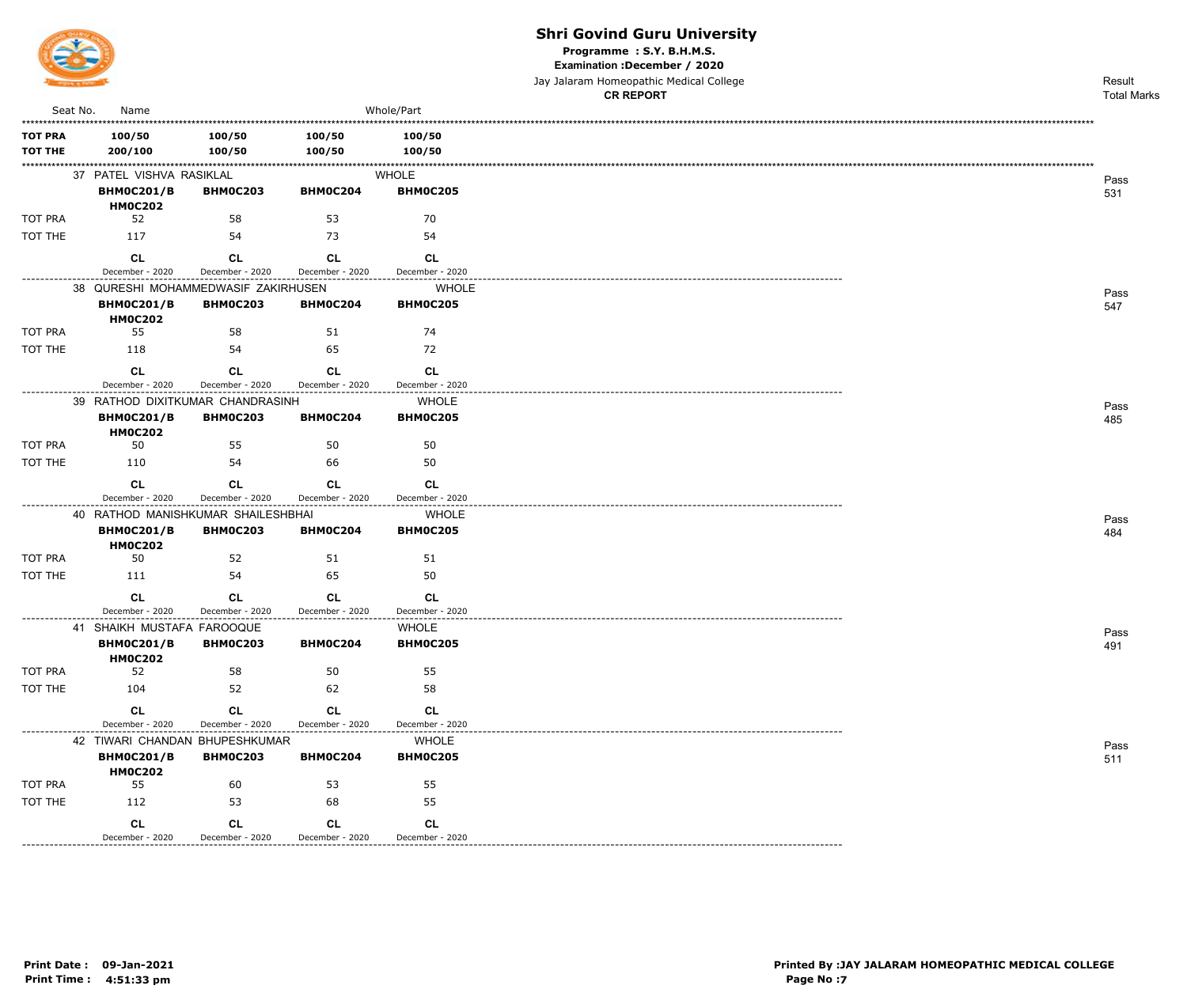

Programme: S.Y. B.H.M.S.

Examination : December / 2020

Jay Jalaram Homeopathic Medical College

|                           |                                     |                       |                              |                                                           | <b>CR REPORT</b> | <b>Total Marks</b> |
|---------------------------|-------------------------------------|-----------------------|------------------------------|-----------------------------------------------------------|------------------|--------------------|
| Seat No.                  | Name                                |                       |                              | Whole/Part                                                |                  |                    |
| <b>TOT PRA</b>            | 100/50                              | 100/50                | 100/50                       | 100/50                                                    |                  |                    |
| <b>TOT THE</b>            | 200/100                             | 100/50                | 100/50                       | 100/50                                                    |                  |                    |
|                           | 37 PATEL VISHVA RASIKLAL            |                       |                              | <b>WHOLE</b>                                              |                  |                    |
|                           | <b>BHM0C201/B</b>                   | <b>BHM0C203</b>       | BHM0C204                     | <b>BHM0C205</b>                                           |                  | Pass<br>531        |
|                           | <b>HM0C202</b>                      |                       |                              |                                                           |                  |                    |
| TOT PRA                   | 52                                  | 58                    | 53                           | 70                                                        |                  |                    |
| TOT THE                   | 117                                 | 54                    | 73                           | 54                                                        |                  |                    |
|                           | <b>CL</b>                           | <b>CL</b>             | <b>CL</b>                    | CL.                                                       |                  |                    |
| . _ _ _ _ _ _ _ _ _ _ _ _ | December - 2020                     | December - 2020       | December - 2020              | December - 2020<br>-------------------------------------- |                  |                    |
|                           | 38 QURESHI MOHAMMEDWASIF ZAKIRHUSEN |                       |                              | <b>WHOLE</b>                                              |                  | Pass               |
|                           | <b>BHM0C201/B</b><br><b>HM0C202</b> | <b>BHM0C203</b>       | BHM0C204                     | <b>BHM0C205</b>                                           |                  | 547                |
| TOT PRA                   | 55                                  | 58                    | 51                           | 74                                                        |                  |                    |
| TOT THE                   | 118                                 | 54                    | 65                           | 72                                                        |                  |                    |
|                           | <b>CL</b>                           | <b>CL</b>             | <b>CL</b>                    | <b>CL</b>                                                 |                  |                    |
|                           | December - 2020                     | December - 2020       | December - 2020              | December - 2020                                           |                  |                    |
|                           | 39 RATHOD DIXITKUMAR CHANDRASINH    |                       |                              | <b>WHOLE</b>                                              |                  | Pass               |
|                           | <b>BHM0C201/B</b>                   | <b>BHM0C203</b>       | BHM0C204                     | <b>BHM0C205</b>                                           |                  | 485                |
| TOT PRA                   | <b>HM0C202</b><br>50                | 55                    | 50                           | 50                                                        |                  |                    |
| TOT THE                   | 110                                 | 54                    | 66                           | 50                                                        |                  |                    |
|                           |                                     |                       |                              |                                                           |                  |                    |
|                           | <b>CL</b><br>December - 2020        | CL<br>December - 2020 | <b>CL</b><br>December - 2020 | <b>CL</b><br>December - 2020                              |                  |                    |
|                           | 40 RATHOD MANISHKUMAR SHAILESHBHAI  |                       |                              | <b>WHOLE</b>                                              |                  |                    |
|                           | <b>BHM0C201/B</b><br><b>HM0C202</b> | <b>BHM0C203</b>       | BHM0C204                     | <b>BHM0C205</b>                                           |                  | Pass<br>484        |
| TOT PRA                   | 50                                  | 52                    | 51                           | 51                                                        |                  |                    |
| TOT THE                   | 111                                 | 54                    | 65                           | 50                                                        |                  |                    |
|                           | <b>CL</b>                           | CL.                   | CL.                          | <b>CL</b>                                                 |                  |                    |
|                           | December - 2020                     | December - 2020       | December - 2020              | December - 2020                                           |                  |                    |
|                           | 41 SHAIKH MUSTAFA FAROOQUE          |                       |                              | <b>WHOLE</b>                                              |                  | Pass               |
|                           | <b>BHM0C201/B</b><br><b>HM0C202</b> | <b>BHM0C203</b>       | BHM0C204                     | <b>BHM0C205</b>                                           |                  | 491                |
| TOT PRA                   | 52                                  | 58                    | 50                           | 55                                                        |                  |                    |
| TOT THE                   | 104                                 | 52                    | 62                           | 58                                                        |                  |                    |
|                           | <b>CL</b>                           | CL                    | <b>CL</b>                    | CL                                                        |                  |                    |
|                           | December - 2020                     | December - 2020       | December - 2020              | December - 2020                                           |                  |                    |
| ---------------------     | 42 TIWARI CHANDAN BHUPESHKUMAR      |                       |                              | <b>WHOLE</b>                                              |                  | Pass               |
|                           | <b>BHM0C201/B</b><br><b>HM0C202</b> | <b>BHM0C203</b>       | BHM0C204                     | <b>BHM0C205</b>                                           |                  | 511                |
| TOT PRA                   | 55                                  | 60                    | 53                           | 55                                                        |                  |                    |
| TOT THE                   | 112                                 | 53                    | 68                           | 55                                                        |                  |                    |
|                           | <b>CL</b>                           | <b>CL</b>             | <b>CL</b>                    | <b>CL</b>                                                 |                  |                    |
|                           | December - 2020                     | December - 2020       | December - 2020              | December - 2020                                           |                  |                    |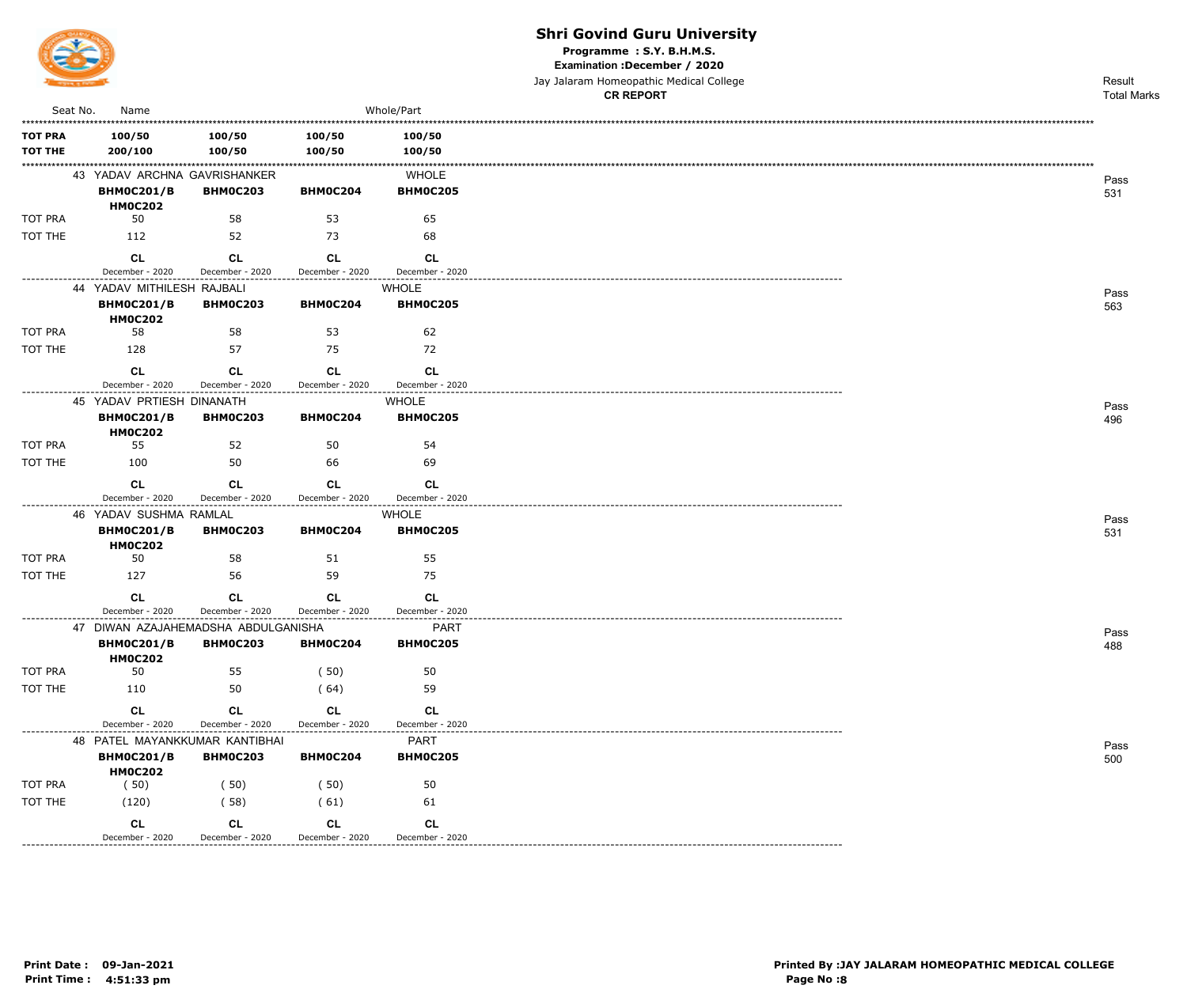

Programme: S.Y. B.H.M.S.

Examination : December / 2020

Jay Jalaram Homeopathic Medical College

|                    |                                     |                 |                                                        |                 | <b>CR REPORT</b> | <b>Total Marks</b> |
|--------------------|-------------------------------------|-----------------|--------------------------------------------------------|-----------------|------------------|--------------------|
| Seat No.           | Name                                |                 |                                                        | Whole/Part      |                  |                    |
| <b>TOT PRA</b>     | 100/50                              | 100/50          | 100/50                                                 | 100/50          |                  |                    |
| <b>TOT THE</b>     | 200/100                             | 100/50          | 100/50                                                 | 100/50          |                  |                    |
|                    | 43 YADAV ARCHNA GAVRISHANKER        |                 |                                                        | <b>WHOLE</b>    |                  |                    |
|                    | <b>BHM0C201/B</b>                   | <b>BHM0C203</b> | BHM0C204                                               | <b>BHM0C205</b> |                  | Pass<br>531        |
|                    | <b>HM0C202</b>                      |                 |                                                        |                 |                  |                    |
| <b>TOT PRA</b>     | 50                                  | 58              | 53                                                     | 65              |                  |                    |
| TOT THE            | 112                                 | 52              | 73                                                     | 68              |                  |                    |
|                    | <b>CL</b>                           | <b>CL</b>       | <b>CL</b>                                              | <b>CL</b>       |                  |                    |
| ---------------    | December - 2020                     | December - 2020 | December - 2020<br>----------------------------------- | December - 2020 |                  |                    |
|                    | 44 YADAV MITHILESH RAJBALI          |                 |                                                        | <b>WHOLE</b>    |                  | Pass               |
|                    | <b>BHM0C201/B</b><br><b>HM0C202</b> | <b>BHM0C203</b> | <b>BHM0C204</b>                                        | <b>BHM0C205</b> |                  | 563                |
| <b>TOT PRA</b>     | 58                                  | 58              | 53                                                     | 62              |                  |                    |
| TOT THE            | 128                                 | 57              | 75                                                     | 72              |                  |                    |
|                    | <b>CL</b>                           | <b>CL</b>       | <b>CL</b>                                              | CL              |                  |                    |
|                    | December - 2020                     | December - 2020 | December - 2020                                        | December - 2020 |                  |                    |
|                    | 45 YADAV PRTIESH DINANATH           |                 |                                                        | <b>WHOLE</b>    |                  | Pass               |
|                    | <b>BHM0C201/B</b>                   | <b>BHM0C203</b> | BHM0C204                                               | <b>BHM0C205</b> |                  | 496                |
|                    | <b>HM0C202</b>                      |                 |                                                        |                 |                  |                    |
| <b>TOT PRA</b>     | 55                                  | 52              | 50                                                     | 54              |                  |                    |
| TOT THE            | 100                                 | 50              | 66                                                     | 69              |                  |                    |
|                    | <b>CL</b>                           | <b>CL</b>       | <b>CL</b>                                              | <b>CL</b>       |                  |                    |
|                    | December - 2020                     | December - 2020 | December - 2020                                        | December - 2020 |                  |                    |
|                    | 46 YADAV SUSHMA RAMLAL              |                 |                                                        | <b>WHOLE</b>    |                  | Pass               |
|                    | <b>BHM0C201/B</b><br><b>HM0C202</b> | <b>BHMOC203</b> | BHM0C204                                               | <b>BHM0C205</b> |                  | 531                |
| <b>TOT PRA</b>     | 50                                  | 58              | 51                                                     | 55              |                  |                    |
| TOT THE            | 127                                 | 56              | 59                                                     | 75              |                  |                    |
|                    | <b>CL</b>                           | CL.             | <b>CL</b>                                              | <b>CL</b>       |                  |                    |
|                    | December - 2020                     | December - 2020 | December - 2020                                        | December - 2020 |                  |                    |
|                    | 47 DIWAN AZAJAHEMADSHA ABDULGANISHA |                 |                                                        | <b>PART</b>     |                  | Pass               |
|                    | <b>BHM0C201/B</b><br><b>HM0C202</b> | <b>BHM0C203</b> | BHM0C204                                               | <b>BHM0C205</b> |                  | 488                |
| TOT PRA            | 50                                  | 55              | (50)                                                   | 50              |                  |                    |
| TOT THE            | 110                                 | 50              | (64)                                                   | 59              |                  |                    |
|                    | CL                                  | <b>CL</b>       | <b>CL</b>                                              | <b>CL</b>       |                  |                    |
|                    | December - 2020                     | December - 2020 | December - 2020                                        | December - 2020 |                  |                    |
|                    | 48 PATEL MAYANKKUMAR KANTIBHAI      |                 |                                                        | PART            |                  | Pass               |
|                    | <b>BHM0C201/B</b>                   | <b>BHM0C203</b> | BHM0C204                                               | <b>BHM0C205</b> |                  | 500                |
|                    | <b>HM0C202</b>                      |                 |                                                        |                 |                  |                    |
| TOT PRA<br>TOT THE | (50)                                | (50)            | (50)                                                   | 50              |                  |                    |
|                    | (120)                               | (58)            | (61)                                                   | 61              |                  |                    |
|                    | <b>CL</b>                           | CL              | <b>CL</b>                                              | CL              |                  |                    |
|                    | December - 2020                     | December - 2020 | December - 2020                                        | December - 2020 |                  |                    |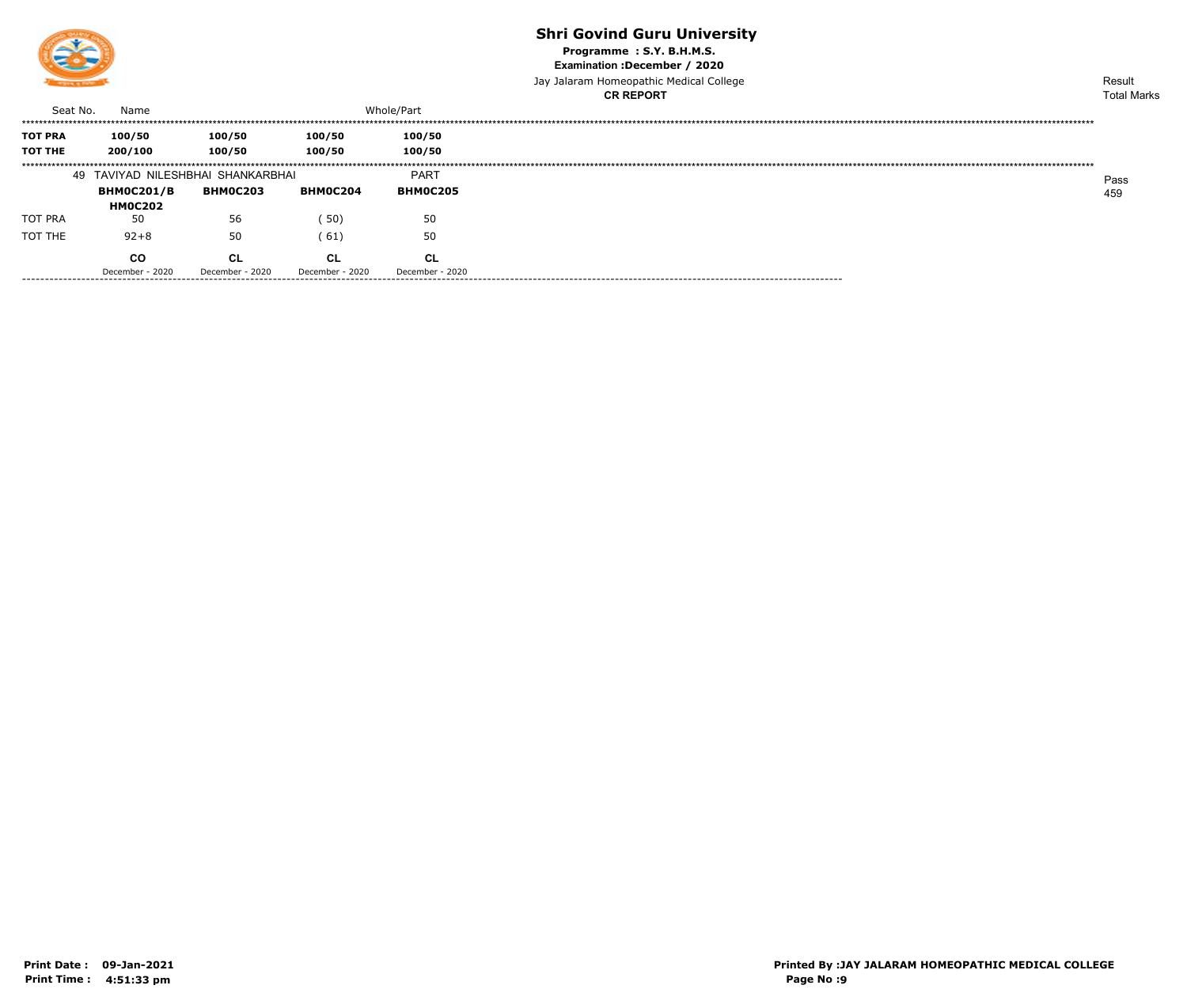

Programme: S.Y. B.H.M.S.

Examination : December / 2020

Jay Jalaram Homeopathic Medical College **CR REPORT** 

|                                  |                                     |                              |                       |                              | <b>CR REPORT</b> | <b>Total Marks</b> |
|----------------------------------|-------------------------------------|------------------------------|-----------------------|------------------------------|------------------|--------------------|
| Seat No.                         | Name                                |                              |                       | Whole/Part                   |                  |                    |
| <b>TOT PRA</b><br><b>TOT THE</b> | 100/50<br>200/100                   | 100/50<br>100/50             | 100/50<br>100/50      | 100/50<br>100/50             |                  |                    |
|                                  | 49 TAVIYAD NILESHBHAI SHANKARBHAI   |                              |                       | <b>PART</b>                  |                  | Pass               |
|                                  | <b>BHMOC201/B</b><br><b>HMOC202</b> | <b>BHMOC203</b>              | <b>BHMOC204</b>       | <b>BHM0C205</b>              |                  | 459                |
| TOT PRA                          | 50                                  | 56                           | (50)                  | 50                           |                  |                    |
| TOT THE                          | $92 + 8$                            | 50                           | (61)                  | 50                           |                  |                    |
|                                  | co<br>December - 2020               | <b>CL</b><br>December - 2020 | CL<br>December - 2020 | <b>CL</b><br>December - 2020 |                  |                    |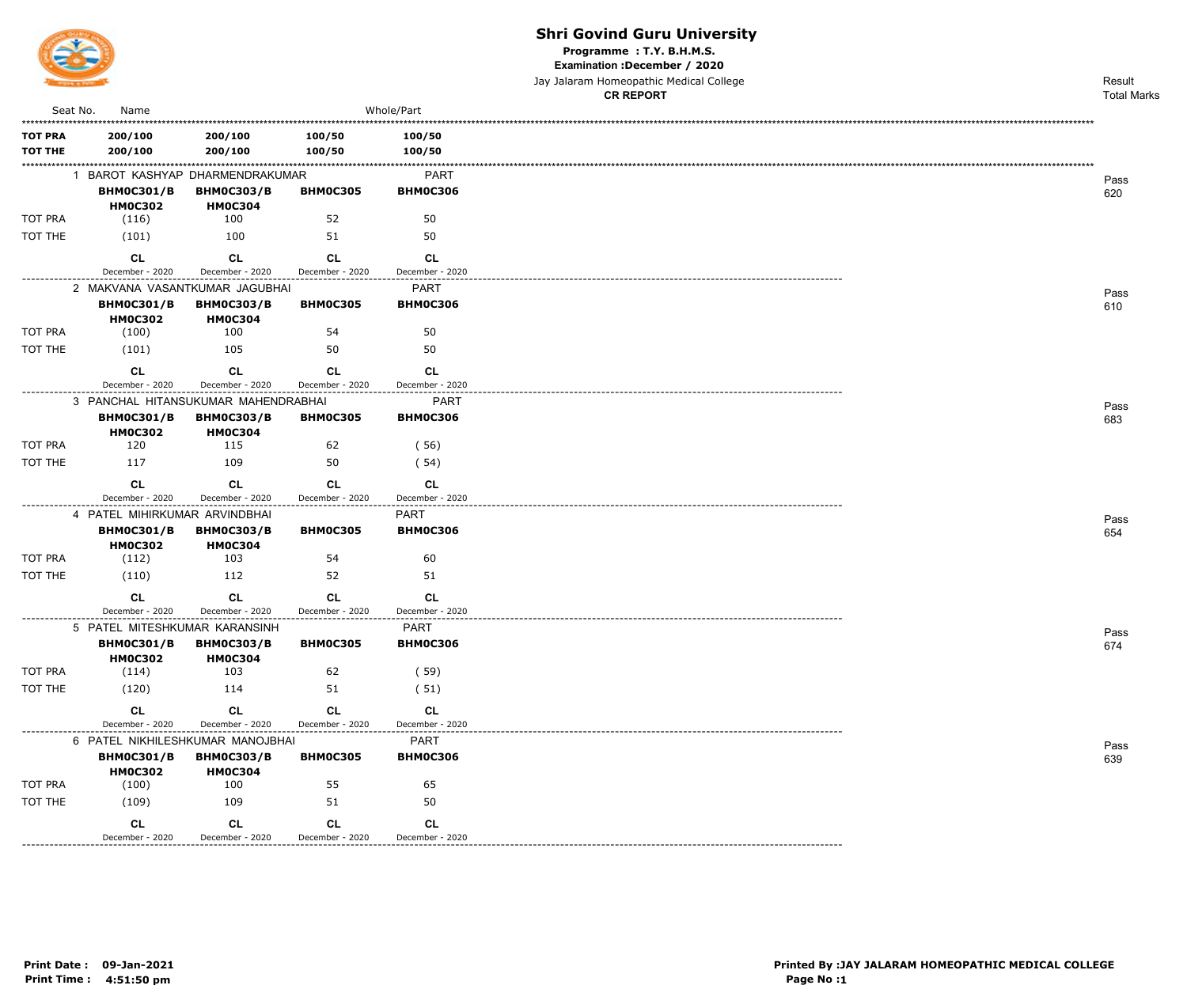

---------------

#### **Shri Govind Guru University**

Programme : T.Y. B.H.M.S.

Examination : December / 2020

|                                  |                                                                         |                                     |                              |                                | Jay Jalaram Homeopathic Medical College<br><b>CR REPORT</b> | Result<br><b>Total Marks</b> |
|----------------------------------|-------------------------------------------------------------------------|-------------------------------------|------------------------------|--------------------------------|-------------------------------------------------------------|------------------------------|
| Seat No.                         | Name                                                                    |                                     |                              | Whole/Part                     |                                                             |                              |
| <b>TOT PRA</b><br><b>TOT THE</b> | 200/100<br>200/100                                                      | 200/100<br>200/100                  | 100/50<br>100/50             | 100/50<br>100/50               |                                                             |                              |
|                                  | 1 BAROT KASHYAP DHARMENDRAKUMAR<br><b>BHM0C301/B</b><br><b>HM0C302</b>  | <b>BHM0C303/B</b><br><b>HM0C304</b> | <b>BHM0C305</b>              | PART<br><b>BHM0C306</b>        |                                                             | Pass<br>620                  |
| TOT PRA                          | (116)                                                                   | 100                                 | 52                           | 50                             |                                                             |                              |
| TOT THE                          | (101)                                                                   | 100                                 | 51                           | 50                             |                                                             |                              |
| ----------------                 | <b>CL</b><br>December - 2020                                            | <b>CL</b><br>December - 2020        | <b>CL</b><br>December - 2020 | CL<br>December - 2020          |                                                             |                              |
|                                  | 2 MAKVANA VASANTKUMAR JAGUBHAI                                          |                                     |                              | PART                           |                                                             | Pass                         |
|                                  | <b>BHM0C301/B</b><br><b>HM0C302</b>                                     | <b>BHM0C303/B</b><br><b>HM0C304</b> | <b>BHM0C305</b>              | <b>BHM0C306</b>                |                                                             | 610                          |
| TOT PRA                          | (100)                                                                   | 100                                 | 54                           | 50                             |                                                             |                              |
| TOT THE                          | (101)                                                                   | 105                                 | 50                           | 50                             |                                                             |                              |
|                                  | <b>CL</b><br>December - 2020                                            | <b>CL</b><br>December - 2020        | <b>CL</b><br>December - 2020 | <b>CL</b><br>December - 2020   |                                                             |                              |
|                                  | 3 PANCHAL HITANSUKUMAR MAHENDRABHAI                                     |                                     |                              | PART                           |                                                             |                              |
|                                  | <b>BHM0C301/B</b><br><b>HM0C302</b>                                     | <b>BHM0C303/B</b><br><b>HM0C304</b> | <b>BHM0C305</b>              | <b>BHM0C306</b>                |                                                             | Pass<br>683                  |
| TOT PRA                          | 120                                                                     | 115                                 | 62                           | (56)                           |                                                             |                              |
| TOT THE                          | 117                                                                     | 109                                 | 50                           | (54)                           |                                                             |                              |
|                                  | CL                                                                      | <b>CL</b>                           | <b>CL</b>                    | CL                             |                                                             |                              |
|                                  | December - 2020                                                         | December - 2020                     | December - 2020              | December - 2020                |                                                             |                              |
|                                  | 4 PATEL MIHIRKUMAR ARVINDBHAI<br><b>BHM0C301/B</b>                      |                                     | <b>BHM0C305</b>              | <b>PART</b><br><b>BHM0C306</b> |                                                             | Pass                         |
|                                  | <b>HM0C302</b>                                                          | <b>BHM0C303/B</b><br><b>HM0C304</b> |                              |                                |                                                             | 654                          |
| TOT PRA                          | (112)                                                                   | 103                                 | 54                           | 60                             |                                                             |                              |
| TOT THE                          | (110)                                                                   | 112                                 | 52                           | 51                             |                                                             |                              |
|                                  | <b>CL</b><br>December - 2020                                            | <b>CL</b><br>December - 2020        | <b>CL</b><br>December - 2020 | <b>CL</b><br>December - 2020   |                                                             |                              |
|                                  | 5 PATEL MITESHKUMAR KARANSINH<br><b>BHM0C301/B</b>                      | <b>BHM0C303/B</b>                   | <b>BHM0C305</b>              | <b>PART</b><br><b>BHM0C306</b> |                                                             | Pass<br>674                  |
| TOT PRA                          | <b>HM0C302</b><br>(114)                                                 | <b>HM0C304</b><br>103               | 62                           | (59)                           |                                                             |                              |
| TOT THE                          | (120)                                                                   | 114                                 | 51                           | (51)                           |                                                             |                              |
|                                  | <b>CL</b>                                                               | <b>CL</b>                           | CL                           | <b>CL</b>                      |                                                             |                              |
|                                  | December - 2020                                                         | December - 2020                     | December - 2020              | December - 2020                |                                                             |                              |
|                                  | 6 PATEL NIKHILESHKUMAR MANOJBHAI<br><b>BHM0C301/B</b><br><b>HM0C302</b> | <b>BHM0C303/B</b><br><b>HM0C304</b> | <b>BHM0C305</b>              | <b>PART</b><br><b>BHM0C306</b> |                                                             | Pass<br>639                  |
| TOT PRA                          | (100)                                                                   | 100                                 | 55                           | 65                             |                                                             |                              |
| TOT THE                          | (109)                                                                   | 109                                 | 51                           | 50                             |                                                             |                              |
|                                  | CL                                                                      | CL                                  | <b>CL</b>                    | CL                             |                                                             |                              |

December - 2020

December - 2020

December - 2020

December - 2020